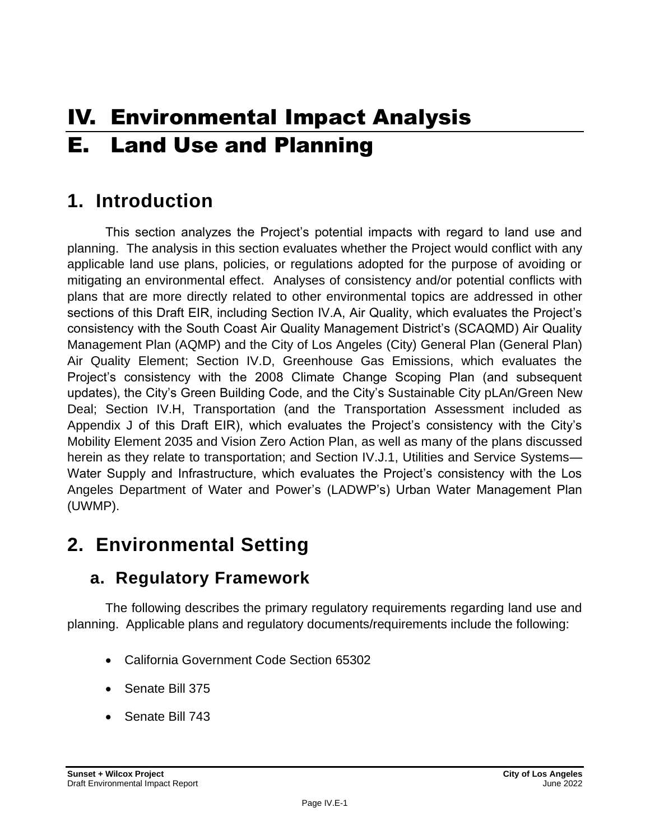# IV. Environmental Impact Analysis E. Land Use and Planning

## **1. Introduction**

This section analyzes the Project's potential impacts with regard to land use and planning. The analysis in this section evaluates whether the Project would conflict with any applicable land use plans, policies, or regulations adopted for the purpose of avoiding or mitigating an environmental effect. Analyses of consistency and/or potential conflicts with plans that are more directly related to other environmental topics are addressed in other sections of this Draft EIR, including Section IV.A, Air Quality, which evaluates the Project's consistency with the South Coast Air Quality Management District's (SCAQMD) Air Quality Management Plan (AQMP) and the City of Los Angeles (City) General Plan (General Plan) Air Quality Element; Section IV.D, Greenhouse Gas Emissions, which evaluates the Project's consistency with the 2008 Climate Change Scoping Plan (and subsequent updates), the City's Green Building Code, and the City's Sustainable City pLAn/Green New Deal; Section IV.H, Transportation (and the Transportation Assessment included as Appendix J of this Draft EIR), which evaluates the Project's consistency with the City's Mobility Element 2035 and Vision Zero Action Plan, as well as many of the plans discussed herein as they relate to transportation; and Section IV.J.1, Utilities and Service Systems— Water Supply and Infrastructure, which evaluates the Project's consistency with the Los Angeles Department of Water and Power's (LADWP's) Urban Water Management Plan (UWMP).

## **2. Environmental Setting**

### **a. Regulatory Framework**

The following describes the primary regulatory requirements regarding land use and planning. Applicable plans and regulatory documents/requirements include the following:

- California Government Code Section 65302
- Senate Bill 375
- Senate Bill 743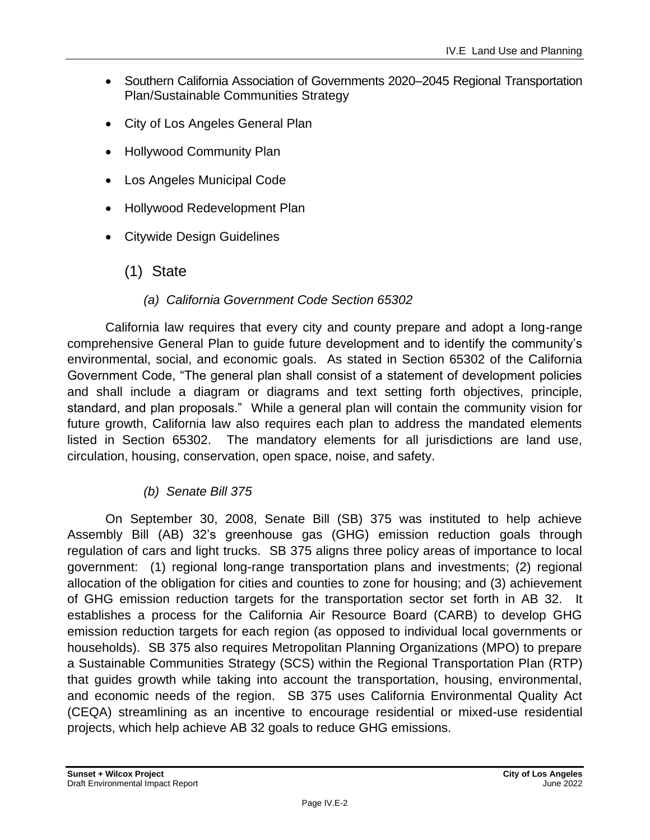- Southern California Association of Governments 2020–2045 Regional Transportation Plan/Sustainable Communities Strategy
- City of Los Angeles General Plan
- Hollywood Community Plan
- Los Angeles Municipal Code
- Hollywood Redevelopment Plan
- Citywide Design Guidelines

### (1) State

### *(a) California Government Code Section 65302*

California law requires that every city and county prepare and adopt a long-range comprehensive General Plan to guide future development and to identify the community's environmental, social, and economic goals. As stated in Section 65302 of the California Government Code, "The general plan shall consist of a statement of development policies and shall include a diagram or diagrams and text setting forth objectives, principle, standard, and plan proposals." While a general plan will contain the community vision for future growth, California law also requires each plan to address the mandated elements listed in Section 65302. The mandatory elements for all jurisdictions are land use, circulation, housing, conservation, open space, noise, and safety.

### *(b) Senate Bill 375*

On September 30, 2008, Senate Bill (SB) 375 was instituted to help achieve Assembly Bill (AB) 32's greenhouse gas (GHG) emission reduction goals through regulation of cars and light trucks. SB 375 aligns three policy areas of importance to local government: (1) regional long-range transportation plans and investments; (2) regional allocation of the obligation for cities and counties to zone for housing; and (3) achievement of GHG emission reduction targets for the transportation sector set forth in AB 32. It establishes a process for the California Air Resource Board (CARB) to develop GHG emission reduction targets for each region (as opposed to individual local governments or households). SB 375 also requires Metropolitan Planning Organizations (MPO) to prepare a Sustainable Communities Strategy (SCS) within the Regional Transportation Plan (RTP) that guides growth while taking into account the transportation, housing, environmental, and economic needs of the region. SB 375 uses California Environmental Quality Act (CEQA) streamlining as an incentive to encourage residential or mixed-use residential projects, which help achieve AB 32 goals to reduce GHG emissions.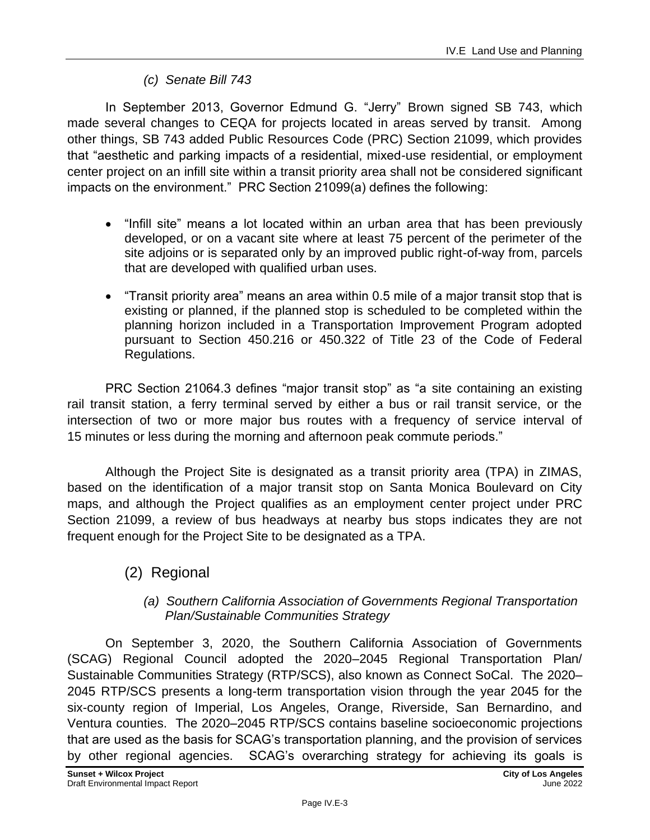### *(c) Senate Bill 743*

In September 2013, Governor Edmund G. "Jerry" Brown signed SB 743, which made several changes to CEQA for projects located in areas served by transit. Among other things, SB 743 added Public Resources Code (PRC) Section 21099, which provides that "aesthetic and parking impacts of a residential, mixed-use residential, or employment center project on an infill site within a transit priority area shall not be considered significant impacts on the environment." PRC Section 21099(a) defines the following:

- "Infill site" means a lot located within an urban area that has been previously developed, or on a vacant site where at least 75 percent of the perimeter of the site adjoins or is separated only by an improved public right-of-way from, parcels that are developed with qualified urban uses.
- "Transit priority area" means an area within 0.5 mile of a major transit stop that is existing or planned, if the planned stop is scheduled to be completed within the planning horizon included in a Transportation Improvement Program adopted pursuant to Section 450.216 or 450.322 of Title 23 of the Code of Federal Regulations.

PRC Section 21064.3 defines "major transit stop" as "a site containing an existing rail transit station, a ferry terminal served by either a bus or rail transit service, or the intersection of two or more major bus routes with a frequency of service interval of 15 minutes or less during the morning and afternoon peak commute periods."

Although the Project Site is designated as a transit priority area (TPA) in ZIMAS, based on the identification of a major transit stop on Santa Monica Boulevard on City maps, and although the Project qualifies as an employment center project under PRC Section 21099, a review of bus headways at nearby bus stops indicates they are not frequent enough for the Project Site to be designated as a TPA.

### (2) Regional

### *(a) Southern California Association of Governments Regional Transportation Plan/Sustainable Communities Strategy*

On September 3, 2020, the Southern California Association of Governments (SCAG) Regional Council adopted the 2020–2045 Regional Transportation Plan/ Sustainable Communities Strategy (RTP/SCS), also known as Connect SoCal. The 2020– 2045 RTP/SCS presents a long-term transportation vision through the year 2045 for the six-county region of Imperial, Los Angeles, Orange, Riverside, San Bernardino, and Ventura counties. The 2020–2045 RTP/SCS contains baseline socioeconomic projections that are used as the basis for SCAG's transportation planning, and the provision of services by other regional agencies. SCAG's overarching strategy for achieving its goals is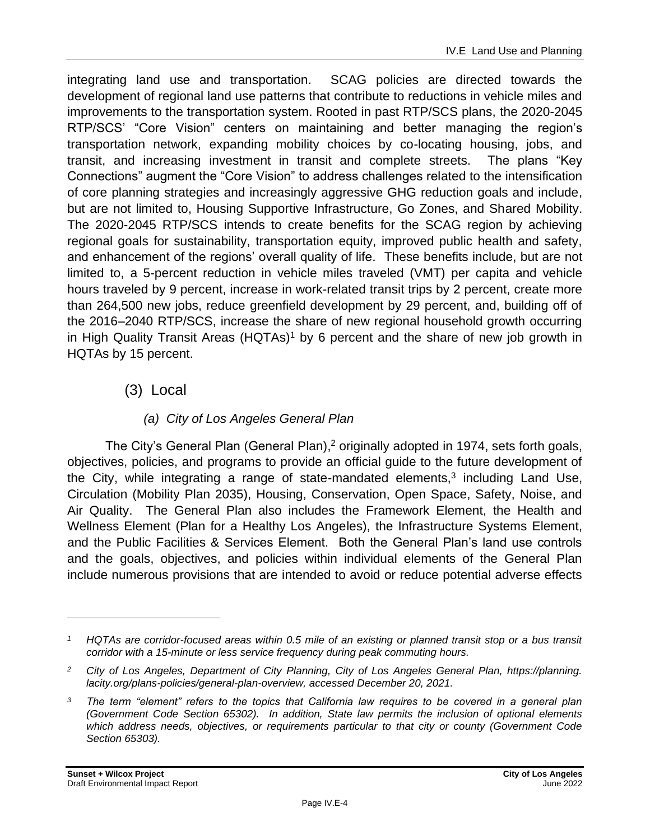integrating land use and transportation. SCAG policies are directed towards the development of regional land use patterns that contribute to reductions in vehicle miles and improvements to the transportation system. Rooted in past RTP/SCS plans, the 2020-2045 RTP/SCS' "Core Vision" centers on maintaining and better managing the region's transportation network, expanding mobility choices by co-locating housing, jobs, and transit, and increasing investment in transit and complete streets. The plans "Key Connections" augment the "Core Vision" to address challenges related to the intensification of core planning strategies and increasingly aggressive GHG reduction goals and include, but are not limited to, Housing Supportive Infrastructure, Go Zones, and Shared Mobility. The 2020-2045 RTP/SCS intends to create benefits for the SCAG region by achieving regional goals for sustainability, transportation equity, improved public health and safety, and enhancement of the regions' overall quality of life. These benefits include, but are not limited to, a 5-percent reduction in vehicle miles traveled (VMT) per capita and vehicle hours traveled by 9 percent, increase in work-related transit trips by 2 percent, create more than 264,500 new jobs, reduce greenfield development by 29 percent, and, building off of the 2016–2040 RTP/SCS, increase the share of new regional household growth occurring in High Quality Transit Areas  $(HQTAs)^1$  by 6 percent and the share of new job growth in HQTAs by 15 percent.

(3) Local

### *(a) City of Los Angeles General Plan*

The City's General Plan (General Plan),<sup>2</sup> originally adopted in 1974, sets forth goals, objectives, policies, and programs to provide an official guide to the future development of the City, while integrating a range of state-mandated elements, $3$  including Land Use, Circulation (Mobility Plan 2035), Housing, Conservation, Open Space, Safety, Noise, and Air Quality. The General Plan also includes the Framework Element, the Health and Wellness Element (Plan for a Healthy Los Angeles), the Infrastructure Systems Element, and the Public Facilities & Services Element. Both the General Plan's land use controls and the goals, objectives, and policies within individual elements of the General Plan include numerous provisions that are intended to avoid or reduce potential adverse effects

*<sup>1</sup> HQTAs are corridor-focused areas within 0.5 mile of an existing or planned transit stop or a bus transit corridor with a 15-minute or less service frequency during peak commuting hours.*

*<sup>2</sup> City of Los Angeles, Department of City Planning, City of Los Angeles General Plan, https://planning. lacity.org/plans-policies/general-plan-overview, accessed December 20, 2021.*

*<sup>3</sup> The term "element" refers to the topics that California law requires to be covered in a general plan (Government Code Section 65302). In addition, State law permits the inclusion of optional elements which address needs, objectives, or requirements particular to that city or county (Government Code Section 65303).*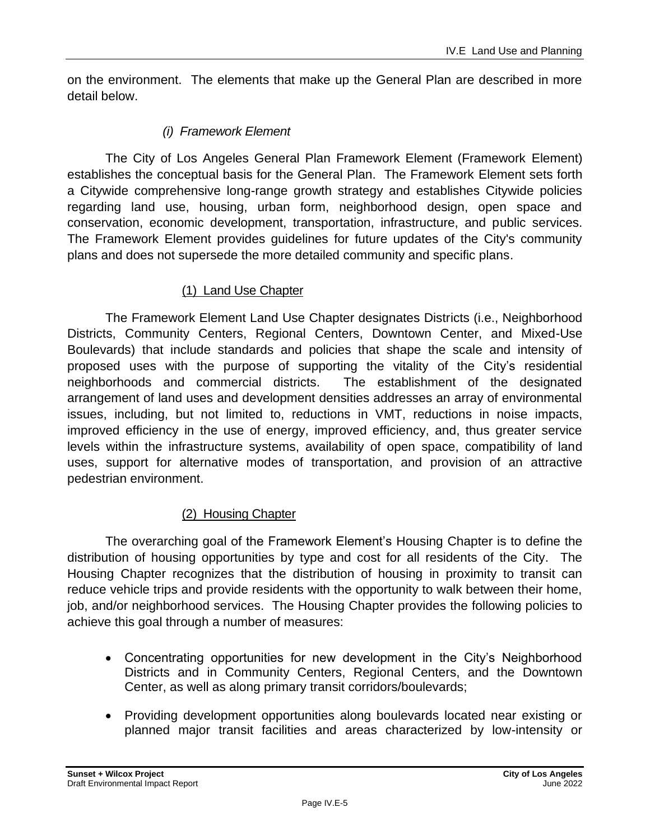on the environment. The elements that make up the General Plan are described in more detail below.

### *(i) Framework Element*

The City of Los Angeles General Plan Framework Element (Framework Element) establishes the conceptual basis for the General Plan. The Framework Element sets forth a Citywide comprehensive long-range growth strategy and establishes Citywide policies regarding land use, housing, urban form, neighborhood design, open space and conservation, economic development, transportation, infrastructure, and public services. The Framework Element provides guidelines for future updates of the City's community plans and does not supersede the more detailed community and specific plans.

#### (1) Land Use Chapter

The Framework Element Land Use Chapter designates Districts (i.e., Neighborhood Districts, Community Centers, Regional Centers, Downtown Center, and Mixed-Use Boulevards) that include standards and policies that shape the scale and intensity of proposed uses with the purpose of supporting the vitality of the City's residential neighborhoods and commercial districts. The establishment of the designated arrangement of land uses and development densities addresses an array of environmental issues, including, but not limited to, reductions in VMT, reductions in noise impacts, improved efficiency in the use of energy, improved efficiency, and, thus greater service levels within the infrastructure systems, availability of open space, compatibility of land uses, support for alternative modes of transportation, and provision of an attractive pedestrian environment.

#### (2) Housing Chapter

The overarching goal of the Framework Element's Housing Chapter is to define the distribution of housing opportunities by type and cost for all residents of the City. The Housing Chapter recognizes that the distribution of housing in proximity to transit can reduce vehicle trips and provide residents with the opportunity to walk between their home, job, and/or neighborhood services. The Housing Chapter provides the following policies to achieve this goal through a number of measures:

- Concentrating opportunities for new development in the City's Neighborhood Districts and in Community Centers, Regional Centers, and the Downtown Center, as well as along primary transit corridors/boulevards;
- Providing development opportunities along boulevards located near existing or planned major transit facilities and areas characterized by low-intensity or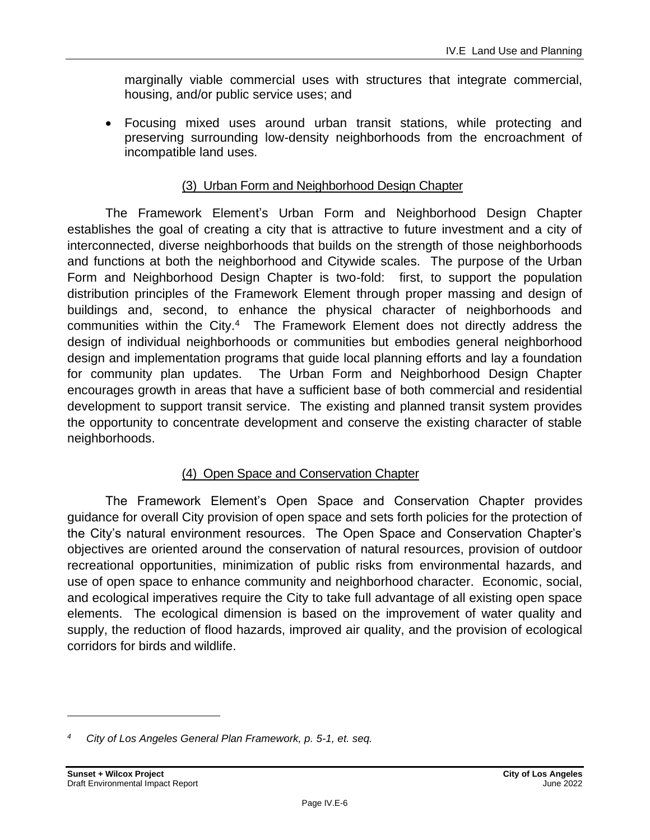marginally viable commercial uses with structures that integrate commercial, housing, and/or public service uses; and

• Focusing mixed uses around urban transit stations, while protecting and preserving surrounding low-density neighborhoods from the encroachment of incompatible land uses.

### (3) Urban Form and Neighborhood Design Chapter

The Framework Element's Urban Form and Neighborhood Design Chapter establishes the goal of creating a city that is attractive to future investment and a city of interconnected, diverse neighborhoods that builds on the strength of those neighborhoods and functions at both the neighborhood and Citywide scales. The purpose of the Urban Form and Neighborhood Design Chapter is two-fold: first, to support the population distribution principles of the Framework Element through proper massing and design of buildings and, second, to enhance the physical character of neighborhoods and communities within the City.<sup>4</sup> The Framework Element does not directly address the design of individual neighborhoods or communities but embodies general neighborhood design and implementation programs that guide local planning efforts and lay a foundation for community plan updates. The Urban Form and Neighborhood Design Chapter encourages growth in areas that have a sufficient base of both commercial and residential development to support transit service. The existing and planned transit system provides the opportunity to concentrate development and conserve the existing character of stable neighborhoods.

### (4) Open Space and Conservation Chapter

The Framework Element's Open Space and Conservation Chapter provides guidance for overall City provision of open space and sets forth policies for the protection of the City's natural environment resources. The Open Space and Conservation Chapter's objectives are oriented around the conservation of natural resources, provision of outdoor recreational opportunities, minimization of public risks from environmental hazards, and use of open space to enhance community and neighborhood character. Economic, social, and ecological imperatives require the City to take full advantage of all existing open space elements. The ecological dimension is based on the improvement of water quality and supply, the reduction of flood hazards, improved air quality, and the provision of ecological corridors for birds and wildlife.

*<sup>4</sup> City of Los Angeles General Plan Framework, p. 5-1, et. seq.*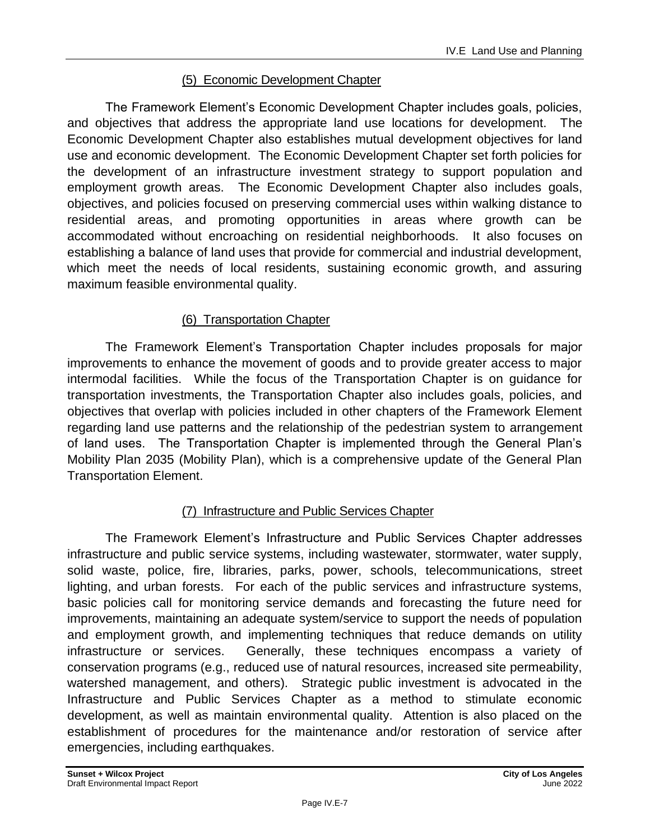### (5) Economic Development Chapter

The Framework Element's Economic Development Chapter includes goals, policies, and objectives that address the appropriate land use locations for development. The Economic Development Chapter also establishes mutual development objectives for land use and economic development. The Economic Development Chapter set forth policies for the development of an infrastructure investment strategy to support population and employment growth areas. The Economic Development Chapter also includes goals, objectives, and policies focused on preserving commercial uses within walking distance to residential areas, and promoting opportunities in areas where growth can be accommodated without encroaching on residential neighborhoods. It also focuses on establishing a balance of land uses that provide for commercial and industrial development, which meet the needs of local residents, sustaining economic growth, and assuring maximum feasible environmental quality.

### (6) Transportation Chapter

The Framework Element's Transportation Chapter includes proposals for major improvements to enhance the movement of goods and to provide greater access to major intermodal facilities. While the focus of the Transportation Chapter is on guidance for transportation investments, the Transportation Chapter also includes goals, policies, and objectives that overlap with policies included in other chapters of the Framework Element regarding land use patterns and the relationship of the pedestrian system to arrangement of land uses. The Transportation Chapter is implemented through the General Plan's Mobility Plan 2035 (Mobility Plan), which is a comprehensive update of the General Plan Transportation Element.

### (7) Infrastructure and Public Services Chapter

The Framework Element's Infrastructure and Public Services Chapter addresses infrastructure and public service systems, including wastewater, stormwater, water supply, solid waste, police, fire, libraries, parks, power, schools, telecommunications, street lighting, and urban forests. For each of the public services and infrastructure systems, basic policies call for monitoring service demands and forecasting the future need for improvements, maintaining an adequate system/service to support the needs of population and employment growth, and implementing techniques that reduce demands on utility infrastructure or services. Generally, these techniques encompass a variety of conservation programs (e.g., reduced use of natural resources, increased site permeability, watershed management, and others). Strategic public investment is advocated in the Infrastructure and Public Services Chapter as a method to stimulate economic development, as well as maintain environmental quality. Attention is also placed on the establishment of procedures for the maintenance and/or restoration of service after emergencies, including earthquakes.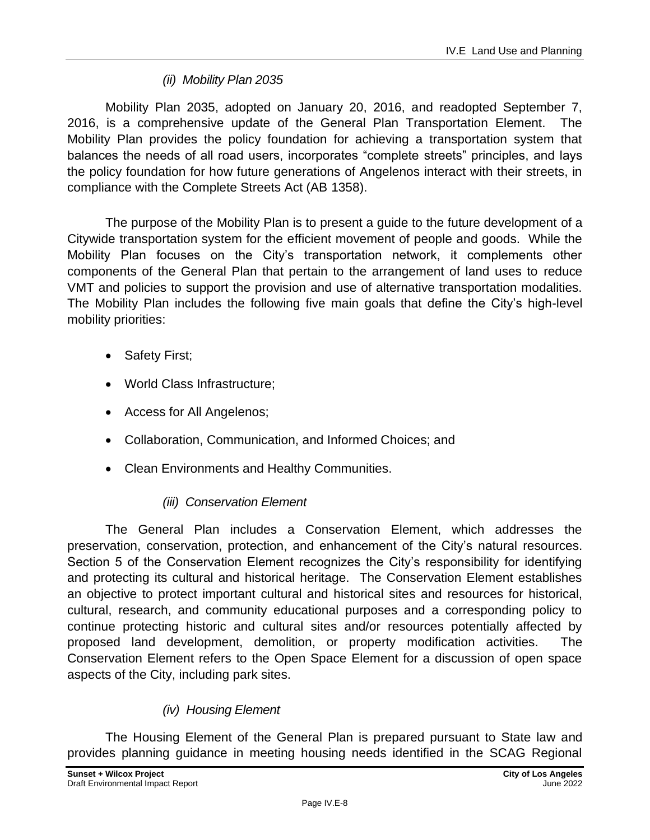### *(ii) Mobility Plan 2035*

Mobility Plan 2035, adopted on January 20, 2016, and readopted September 7, 2016, is a comprehensive update of the General Plan Transportation Element. The Mobility Plan provides the policy foundation for achieving a transportation system that balances the needs of all road users, incorporates "complete streets" principles, and lays the policy foundation for how future generations of Angelenos interact with their streets, in compliance with the Complete Streets Act (AB 1358).

The purpose of the Mobility Plan is to present a guide to the future development of a Citywide transportation system for the efficient movement of people and goods. While the Mobility Plan focuses on the City's transportation network, it complements other components of the General Plan that pertain to the arrangement of land uses to reduce VMT and policies to support the provision and use of alternative transportation modalities. The Mobility Plan includes the following five main goals that define the City's high-level mobility priorities:

- Safety First;
- World Class Infrastructure;
- Access for All Angelenos;
- Collaboration, Communication, and Informed Choices; and
- Clean Environments and Healthy Communities.

### *(iii) Conservation Element*

The General Plan includes a Conservation Element, which addresses the preservation, conservation, protection, and enhancement of the City's natural resources. Section 5 of the Conservation Element recognizes the City's responsibility for identifying and protecting its cultural and historical heritage. The Conservation Element establishes an objective to protect important cultural and historical sites and resources for historical, cultural, research, and community educational purposes and a corresponding policy to continue protecting historic and cultural sites and/or resources potentially affected by proposed land development, demolition, or property modification activities. The Conservation Element refers to the Open Space Element for a discussion of open space aspects of the City, including park sites.

### *(iv) Housing Element*

The Housing Element of the General Plan is prepared pursuant to State law and provides planning guidance in meeting housing needs identified in the SCAG Regional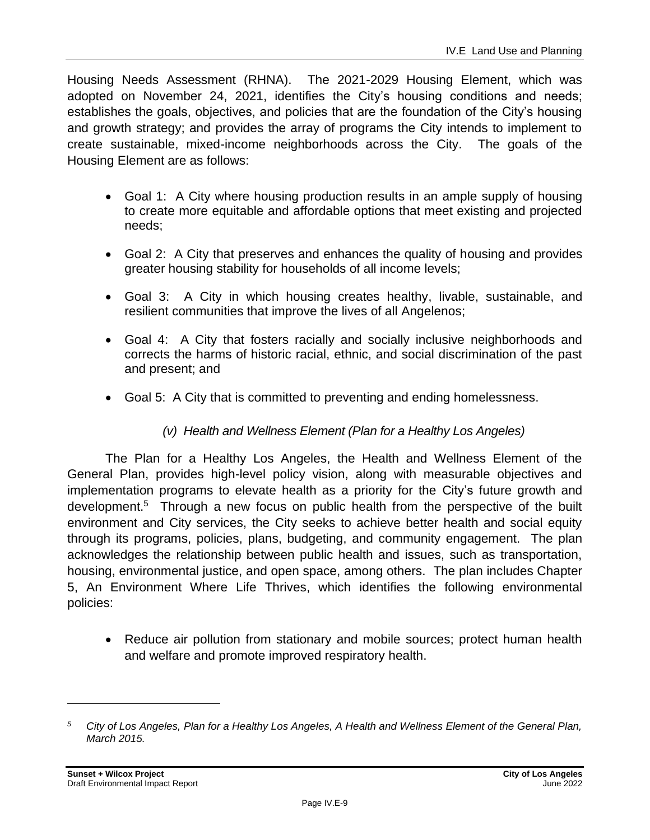Housing Needs Assessment (RHNA). The 2021-2029 Housing Element, which was adopted on November 24, 2021, identifies the City's housing conditions and needs; establishes the goals, objectives, and policies that are the foundation of the City's housing and growth strategy; and provides the array of programs the City intends to implement to create sustainable, mixed-income neighborhoods across the City. The goals of the Housing Element are as follows:

- Goal 1: A City where housing production results in an ample supply of housing to create more equitable and affordable options that meet existing and projected needs;
- Goal 2: A City that preserves and enhances the quality of housing and provides greater housing stability for households of all income levels;
- Goal 3: A City in which housing creates healthy, livable, sustainable, and resilient communities that improve the lives of all Angelenos;
- Goal 4: A City that fosters racially and socially inclusive neighborhoods and corrects the harms of historic racial, ethnic, and social discrimination of the past and present; and
- Goal 5: A City that is committed to preventing and ending homelessness.
	- *(v) Health and Wellness Element (Plan for a Healthy Los Angeles)*

The Plan for a Healthy Los Angeles, the Health and Wellness Element of the General Plan, provides high-level policy vision, along with measurable objectives and implementation programs to elevate health as a priority for the City's future growth and development.<sup>5</sup> Through a new focus on public health from the perspective of the built environment and City services, the City seeks to achieve better health and social equity through its programs, policies, plans, budgeting, and community engagement. The plan acknowledges the relationship between public health and issues, such as transportation, housing, environmental justice, and open space, among others. The plan includes Chapter 5, An Environment Where Life Thrives, which identifies the following environmental policies:

• Reduce air pollution from stationary and mobile sources; protect human health and welfare and promote improved respiratory health.

*<sup>5</sup> City of Los Angeles, Plan for a Healthy Los Angeles, A Health and Wellness Element of the General Plan, March 2015.*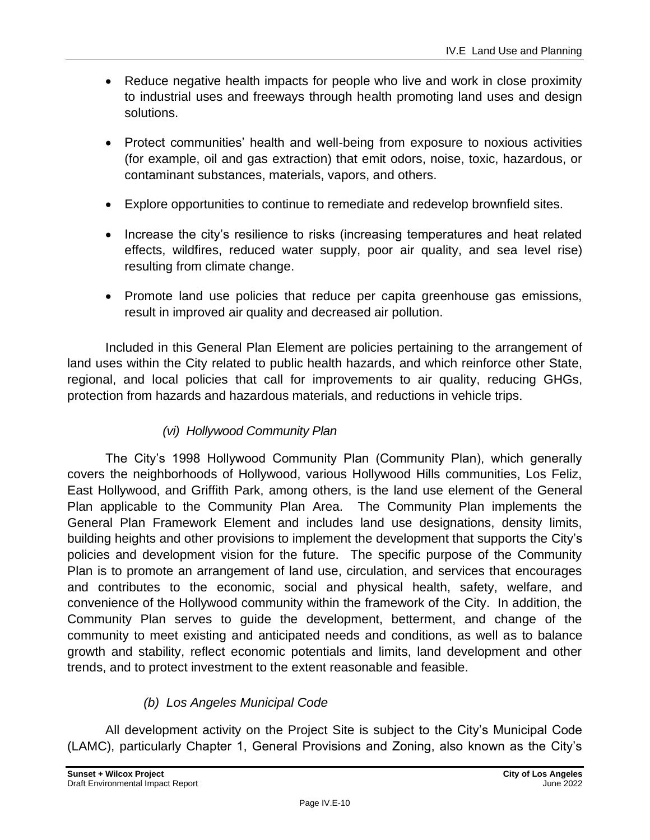- Reduce negative health impacts for people who live and work in close proximity to industrial uses and freeways through health promoting land uses and design solutions.
- Protect communities' health and well-being from exposure to noxious activities (for example, oil and gas extraction) that emit odors, noise, toxic, hazardous, or contaminant substances, materials, vapors, and others.
- Explore opportunities to continue to remediate and redevelop brownfield sites.
- Increase the city's resilience to risks (increasing temperatures and heat related effects, wildfires, reduced water supply, poor air quality, and sea level rise) resulting from climate change.
- Promote land use policies that reduce per capita greenhouse gas emissions, result in improved air quality and decreased air pollution.

Included in this General Plan Element are policies pertaining to the arrangement of land uses within the City related to public health hazards, and which reinforce other State, regional, and local policies that call for improvements to air quality, reducing GHGs, protection from hazards and hazardous materials, and reductions in vehicle trips.

### *(vi) Hollywood Community Plan*

The City's 1998 Hollywood Community Plan (Community Plan), which generally covers the neighborhoods of Hollywood, various Hollywood Hills communities, Los Feliz, East Hollywood, and Griffith Park, among others, is the land use element of the General Plan applicable to the Community Plan Area. The Community Plan implements the General Plan Framework Element and includes land use designations, density limits, building heights and other provisions to implement the development that supports the City's policies and development vision for the future. The specific purpose of the Community Plan is to promote an arrangement of land use, circulation, and services that encourages and contributes to the economic, social and physical health, safety, welfare, and convenience of the Hollywood community within the framework of the City. In addition, the Community Plan serves to guide the development, betterment, and change of the community to meet existing and anticipated needs and conditions, as well as to balance growth and stability, reflect economic potentials and limits, land development and other trends, and to protect investment to the extent reasonable and feasible.

### *(b) Los Angeles Municipal Code*

All development activity on the Project Site is subject to the City's Municipal Code (LAMC), particularly Chapter 1, General Provisions and Zoning, also known as the City's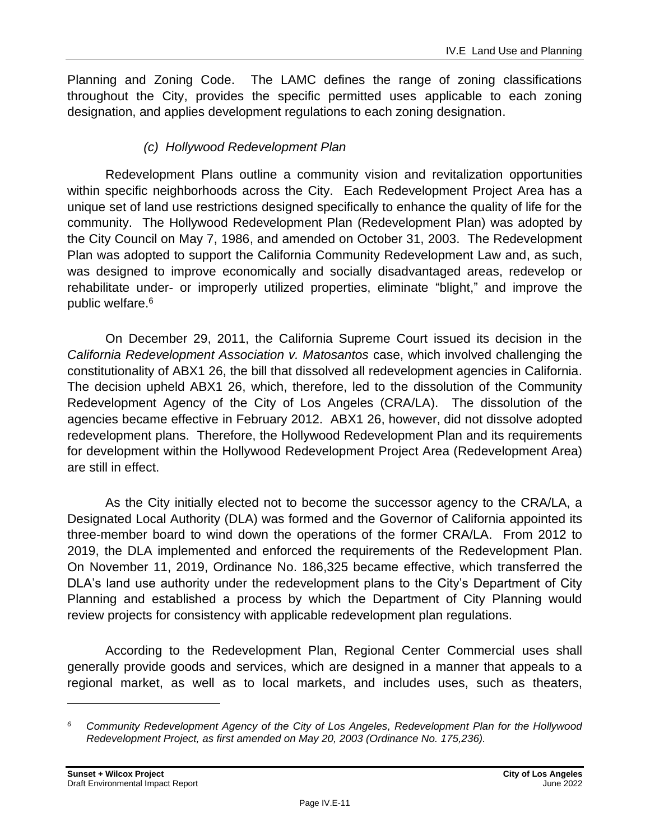Planning and Zoning Code. The LAMC defines the range of zoning classifications throughout the City, provides the specific permitted uses applicable to each zoning designation, and applies development regulations to each zoning designation.

### *(c) Hollywood Redevelopment Plan*

Redevelopment Plans outline a community vision and revitalization opportunities within specific neighborhoods across the City. Each Redevelopment Project Area has a unique set of land use restrictions designed specifically to enhance the quality of life for the community. The Hollywood Redevelopment Plan (Redevelopment Plan) was adopted by the City Council on May 7, 1986, and amended on October 31, 2003. The Redevelopment Plan was adopted to support the California Community Redevelopment Law and, as such, was designed to improve economically and socially disadvantaged areas, redevelop or rehabilitate under- or improperly utilized properties, eliminate "blight," and improve the public welfare.<sup>6</sup>

On December 29, 2011, the California Supreme Court issued its decision in the *California Redevelopment Association v. Matosantos* case, which involved challenging the constitutionality of ABX1 26, the bill that dissolved all redevelopment agencies in California. The decision upheld ABX1 26, which, therefore, led to the dissolution of the Community Redevelopment Agency of the City of Los Angeles (CRA/LA). The dissolution of the agencies became effective in February 2012. ABX1 26, however, did not dissolve adopted redevelopment plans. Therefore, the Hollywood Redevelopment Plan and its requirements for development within the Hollywood Redevelopment Project Area (Redevelopment Area) are still in effect.

As the City initially elected not to become the successor agency to the CRA/LA, a Designated Local Authority (DLA) was formed and the Governor of California appointed its three-member board to wind down the operations of the former CRA/LA. From 2012 to 2019, the DLA implemented and enforced the requirements of the Redevelopment Plan. On November 11, 2019, Ordinance No. 186,325 became effective, which transferred the DLA's land use authority under the redevelopment plans to the City's Department of City Planning and established a process by which the Department of City Planning would review projects for consistency with applicable redevelopment plan regulations.

According to the Redevelopment Plan, Regional Center Commercial uses shall generally provide goods and services, which are designed in a manner that appeals to a regional market, as well as to local markets, and includes uses, such as theaters,

*<sup>6</sup> Community Redevelopment Agency of the City of Los Angeles, Redevelopment Plan for the Hollywood Redevelopment Project, as first amended on May 20, 2003 (Ordinance No. 175,236).*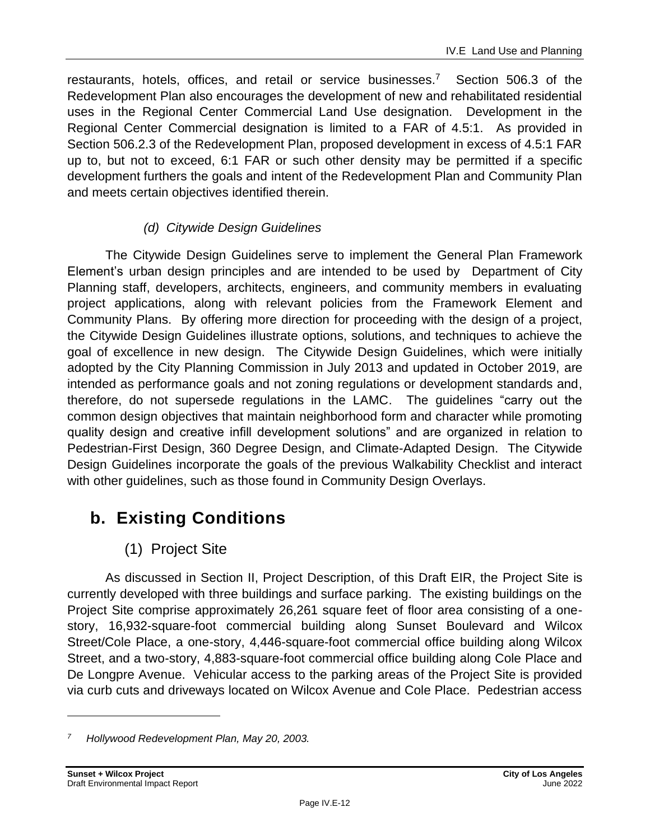restaurants, hotels, offices, and retail or service businesses.<sup>7</sup> Section 506.3 of the Redevelopment Plan also encourages the development of new and rehabilitated residential uses in the Regional Center Commercial Land Use designation. Development in the Regional Center Commercial designation is limited to a FAR of 4.5:1. As provided in Section 506.2.3 of the Redevelopment Plan, proposed development in excess of 4.5:1 FAR up to, but not to exceed, 6:1 FAR or such other density may be permitted if a specific development furthers the goals and intent of the Redevelopment Plan and Community Plan and meets certain objectives identified therein.

### *(d) Citywide Design Guidelines*

The Citywide Design Guidelines serve to implement the General Plan Framework Element's urban design principles and are intended to be used by Department of City Planning staff, developers, architects, engineers, and community members in evaluating project applications, along with relevant policies from the Framework Element and Community Plans. By offering more direction for proceeding with the design of a project, the Citywide Design Guidelines illustrate options, solutions, and techniques to achieve the goal of excellence in new design. The Citywide Design Guidelines, which were initially adopted by the City Planning Commission in July 2013 and updated in October 2019, are intended as performance goals and not zoning regulations or development standards and, therefore, do not supersede regulations in the LAMC. The guidelines "carry out the common design objectives that maintain neighborhood form and character while promoting quality design and creative infill development solutions" and are organized in relation to Pedestrian-First Design, 360 Degree Design, and Climate-Adapted Design. The Citywide Design Guidelines incorporate the goals of the previous Walkability Checklist and interact with other guidelines, such as those found in Community Design Overlays.

## **b. Existing Conditions**

### (1) Project Site

As discussed in Section II, Project Description, of this Draft EIR, the Project Site is currently developed with three buildings and surface parking. The existing buildings on the Project Site comprise approximately 26,261 square feet of floor area consisting of a onestory, 16,932-square-foot commercial building along Sunset Boulevard and Wilcox Street/Cole Place, a one-story, 4,446-square-foot commercial office building along Wilcox Street, and a two-story, 4,883-square-foot commercial office building along Cole Place and De Longpre Avenue. Vehicular access to the parking areas of the Project Site is provided via curb cuts and driveways located on Wilcox Avenue and Cole Place. Pedestrian access

*<sup>7</sup> Hollywood Redevelopment Plan, May 20, 2003.*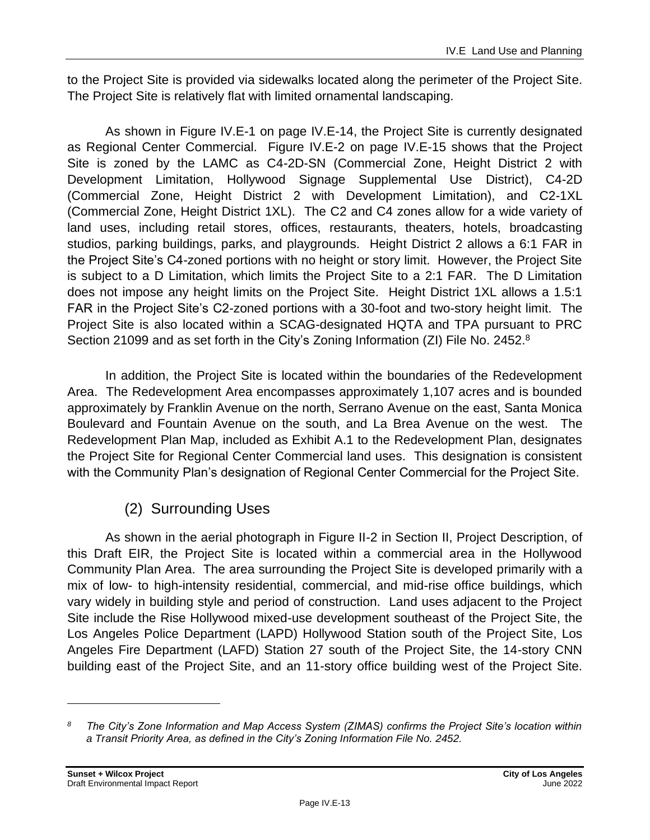to the Project Site is provided via sidewalks located along the perimeter of the Project Site. The Project Site is relatively flat with limited ornamental landscaping.

As shown in Figure IV.E-1 on page IV.E-14, the Project Site is currently designated as Regional Center Commercial. Figure IV.E-2 on page IV.E-15 shows that the Project Site is zoned by the LAMC as C4-2D-SN (Commercial Zone, Height District 2 with Development Limitation, Hollywood Signage Supplemental Use District), C4-2D (Commercial Zone, Height District 2 with Development Limitation), and C2-1XL (Commercial Zone, Height District 1XL). The C2 and C4 zones allow for a wide variety of land uses, including retail stores, offices, restaurants, theaters, hotels, broadcasting studios, parking buildings, parks, and playgrounds. Height District 2 allows a 6:1 FAR in the Project Site's C4-zoned portions with no height or story limit. However, the Project Site is subject to a D Limitation, which limits the Project Site to a 2:1 FAR. The D Limitation does not impose any height limits on the Project Site. Height District 1XL allows a 1.5:1 FAR in the Project Site's C2-zoned portions with a 30-foot and two-story height limit. The Project Site is also located within a SCAG-designated HQTA and TPA pursuant to PRC Section 21099 and as set forth in the City's Zoning Information (ZI) File No. 2452.<sup>8</sup>

In addition, the Project Site is located within the boundaries of the Redevelopment Area. The Redevelopment Area encompasses approximately 1,107 acres and is bounded approximately by Franklin Avenue on the north, Serrano Avenue on the east, Santa Monica Boulevard and Fountain Avenue on the south, and La Brea Avenue on the west. The Redevelopment Plan Map, included as Exhibit A.1 to the Redevelopment Plan, designates the Project Site for Regional Center Commercial land uses. This designation is consistent with the Community Plan's designation of Regional Center Commercial for the Project Site.

### (2) Surrounding Uses

As shown in the aerial photograph in Figure II-2 in Section II, Project Description, of this Draft EIR, the Project Site is located within a commercial area in the Hollywood Community Plan Area. The area surrounding the Project Site is developed primarily with a mix of low- to high-intensity residential, commercial, and mid-rise office buildings, which vary widely in building style and period of construction. Land uses adjacent to the Project Site include the Rise Hollywood mixed-use development southeast of the Project Site, the Los Angeles Police Department (LAPD) Hollywood Station south of the Project Site, Los Angeles Fire Department (LAFD) Station 27 south of the Project Site, the 14-story CNN building east of the Project Site, and an 11-story office building west of the Project Site.

*<sup>8</sup> The City's Zone Information and Map Access System (ZIMAS) confirms the Project Site's location within a Transit Priority Area, as defined in the City's Zoning Information File No. 2452.*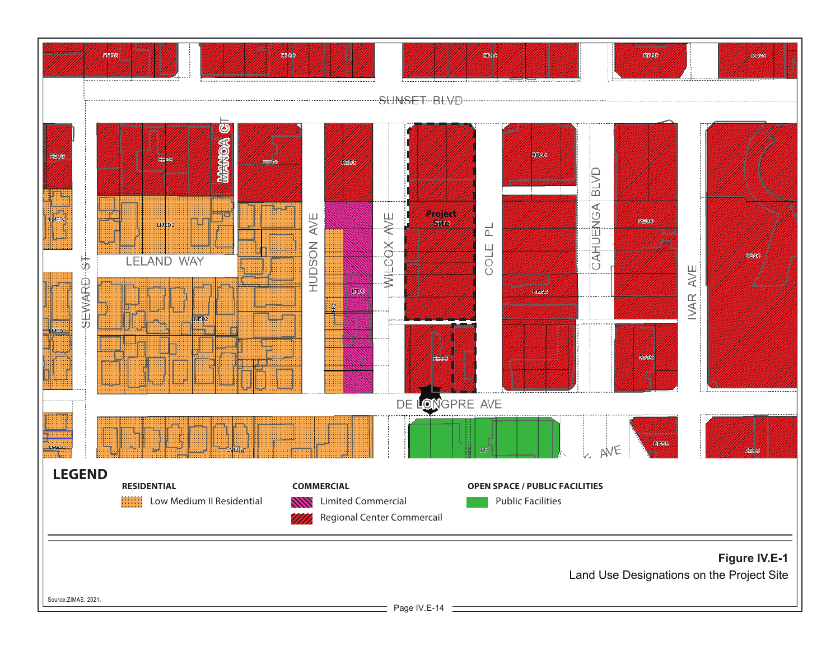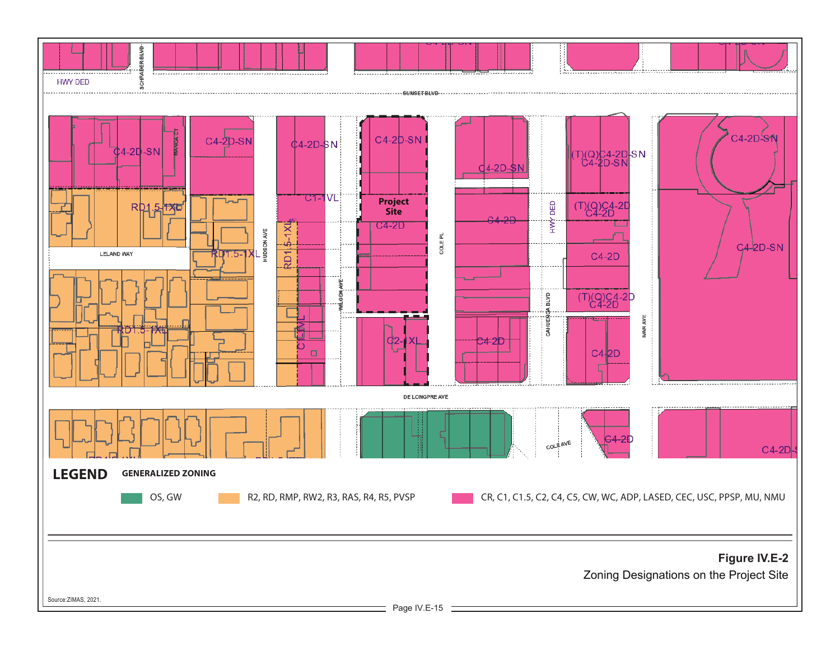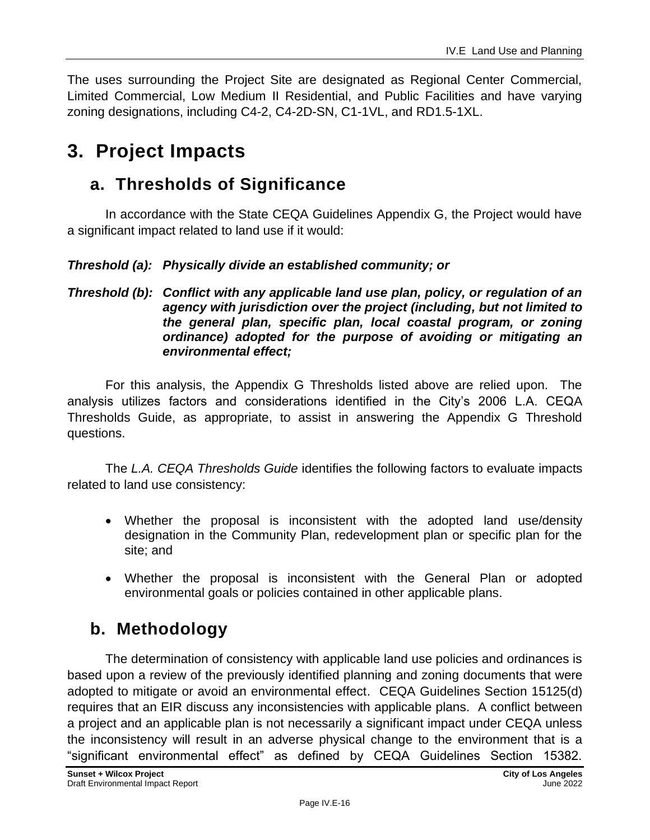The uses surrounding the Project Site are designated as Regional Center Commercial, Limited Commercial, Low Medium II Residential, and Public Facilities and have varying zoning designations, including C4-2, C4-2D-SN, C1-1VL, and RD1.5-1XL.

## **3. Project Impacts**

### **a. Thresholds of Significance**

In accordance with the State CEQA Guidelines Appendix G, the Project would have a significant impact related to land use if it would:

### *Threshold (a): Physically divide an established community; or*

#### *Threshold (b): Conflict with any applicable land use plan, policy, or regulation of an agency with jurisdiction over the project (including, but not limited to the general plan, specific plan, local coastal program, or zoning ordinance) adopted for the purpose of avoiding or mitigating an environmental effect;*

For this analysis, the Appendix G Thresholds listed above are relied upon. The analysis utilizes factors and considerations identified in the City's 2006 L.A. CEQA Thresholds Guide, as appropriate, to assist in answering the Appendix G Threshold questions.

The *L.A. CEQA Thresholds Guide* identifies the following factors to evaluate impacts related to land use consistency:

- Whether the proposal is inconsistent with the adopted land use/density designation in the Community Plan, redevelopment plan or specific plan for the site; and
- Whether the proposal is inconsistent with the General Plan or adopted environmental goals or policies contained in other applicable plans.

## **b. Methodology**

The determination of consistency with applicable land use policies and ordinances is based upon a review of the previously identified planning and zoning documents that were adopted to mitigate or avoid an environmental effect. CEQA Guidelines Section 15125(d) requires that an EIR discuss any inconsistencies with applicable plans. A conflict between a project and an applicable plan is not necessarily a significant impact under CEQA unless the inconsistency will result in an adverse physical change to the environment that is a "significant environmental effect" as defined by CEQA Guidelines Section 15382.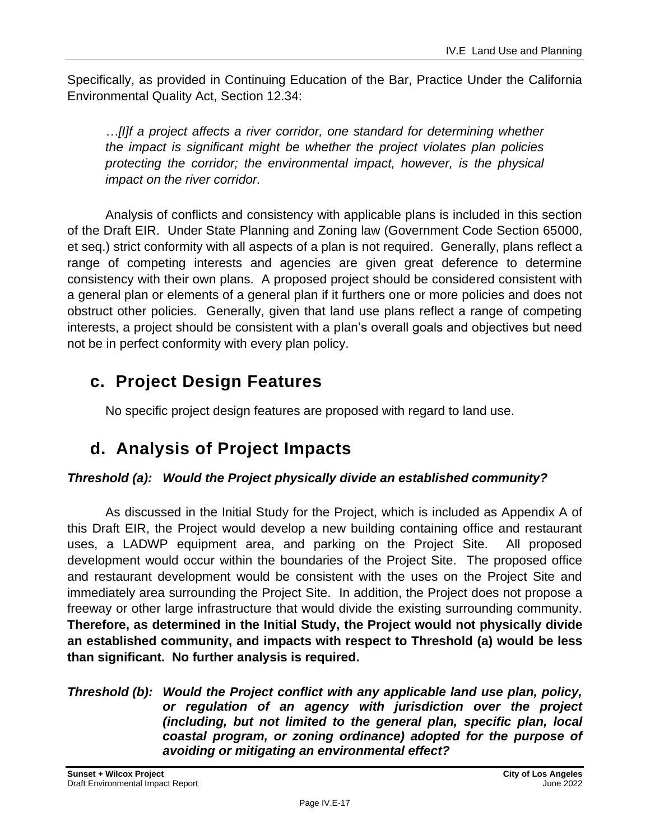Specifically, as provided in Continuing Education of the Bar, Practice Under the California Environmental Quality Act, Section 12.34:

*…[I]f a project affects a river corridor, one standard for determining whether the impact is significant might be whether the project violates plan policies protecting the corridor; the environmental impact, however, is the physical impact on the river corridor.*

Analysis of conflicts and consistency with applicable plans is included in this section of the Draft EIR. Under State Planning and Zoning law (Government Code Section 65000, et seq.) strict conformity with all aspects of a plan is not required. Generally, plans reflect a range of competing interests and agencies are given great deference to determine consistency with their own plans. A proposed project should be considered consistent with a general plan or elements of a general plan if it furthers one or more policies and does not obstruct other policies. Generally, given that land use plans reflect a range of competing interests, a project should be consistent with a plan's overall goals and objectives but need not be in perfect conformity with every plan policy.

## **c. Project Design Features**

No specific project design features are proposed with regard to land use.

## **d. Analysis of Project Impacts**

### *Threshold (a): Would the Project physically divide an established community?*

As discussed in the Initial Study for the Project, which is included as Appendix A of this Draft EIR, the Project would develop a new building containing office and restaurant uses, a LADWP equipment area, and parking on the Project Site. All proposed development would occur within the boundaries of the Project Site. The proposed office and restaurant development would be consistent with the uses on the Project Site and immediately area surrounding the Project Site. In addition, the Project does not propose a freeway or other large infrastructure that would divide the existing surrounding community. **Therefore, as determined in the Initial Study, the Project would not physically divide an established community, and impacts with respect to Threshold (a) would be less than significant. No further analysis is required.**

#### *Threshold (b): Would the Project conflict with any applicable land use plan, policy, or regulation of an agency with jurisdiction over the project (including, but not limited to the general plan, specific plan, local coastal program, or zoning ordinance) adopted for the purpose of avoiding or mitigating an environmental effect?*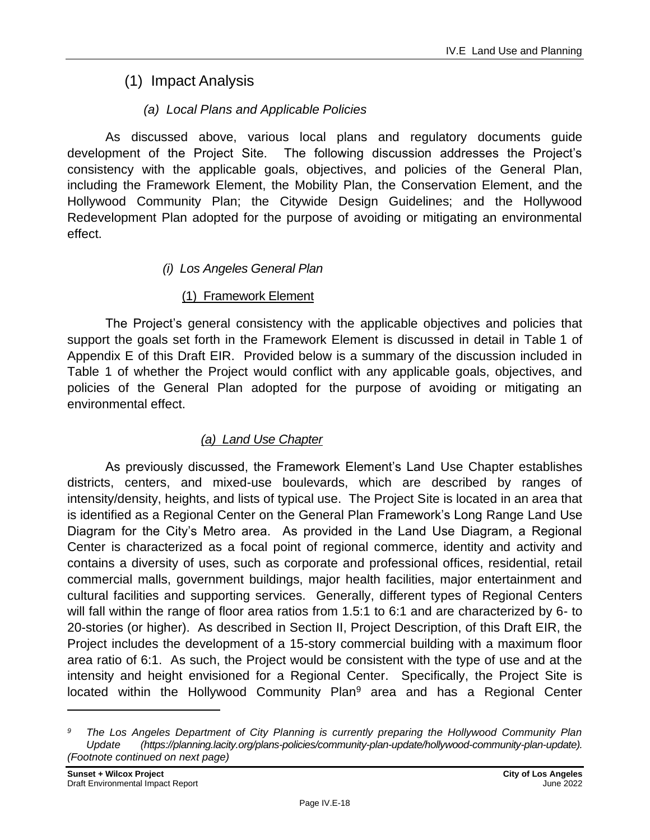### (1) Impact Analysis

### *(a) Local Plans and Applicable Policies*

As discussed above, various local plans and regulatory documents guide development of the Project Site. The following discussion addresses the Project's consistency with the applicable goals, objectives, and policies of the General Plan, including the Framework Element, the Mobility Plan, the Conservation Element, and the Hollywood Community Plan; the Citywide Design Guidelines; and the Hollywood Redevelopment Plan adopted for the purpose of avoiding or mitigating an environmental effect.

### *(i) Los Angeles General Plan*

### (1) Framework Element

The Project's general consistency with the applicable objectives and policies that support the goals set forth in the Framework Element is discussed in detail in Table 1 of Appendix E of this Draft EIR. Provided below is a summary of the discussion included in Table 1 of whether the Project would conflict with any applicable goals, objectives, and policies of the General Plan adopted for the purpose of avoiding or mitigating an environmental effect.

### *(a) Land Use Chapter*

As previously discussed, the Framework Element's Land Use Chapter establishes districts, centers, and mixed-use boulevards, which are described by ranges of intensity/density, heights, and lists of typical use. The Project Site is located in an area that is identified as a Regional Center on the General Plan Framework's Long Range Land Use Diagram for the City's Metro area. As provided in the Land Use Diagram, a Regional Center is characterized as a focal point of regional commerce, identity and activity and contains a diversity of uses, such as corporate and professional offices, residential, retail commercial malls, government buildings, major health facilities, major entertainment and cultural facilities and supporting services. Generally, different types of Regional Centers will fall within the range of floor area ratios from 1.5:1 to 6:1 and are characterized by 6- to 20-stories (or higher). As described in Section II, Project Description, of this Draft EIR, the Project includes the development of a 15-story commercial building with a maximum floor area ratio of 6:1. As such, the Project would be consistent with the type of use and at the intensity and height envisioned for a Regional Center. Specifically, the Project Site is located within the Hollywood Community Plan<sup>9</sup> area and has a Regional Center

*<sup>9</sup> The Los Angeles Department of City Planning is currently preparing the Hollywood Community Plan Update (https://planning.lacity.org/plans-policies/community-plan-update/hollywood-community-plan-update). (Footnote continued on next page)*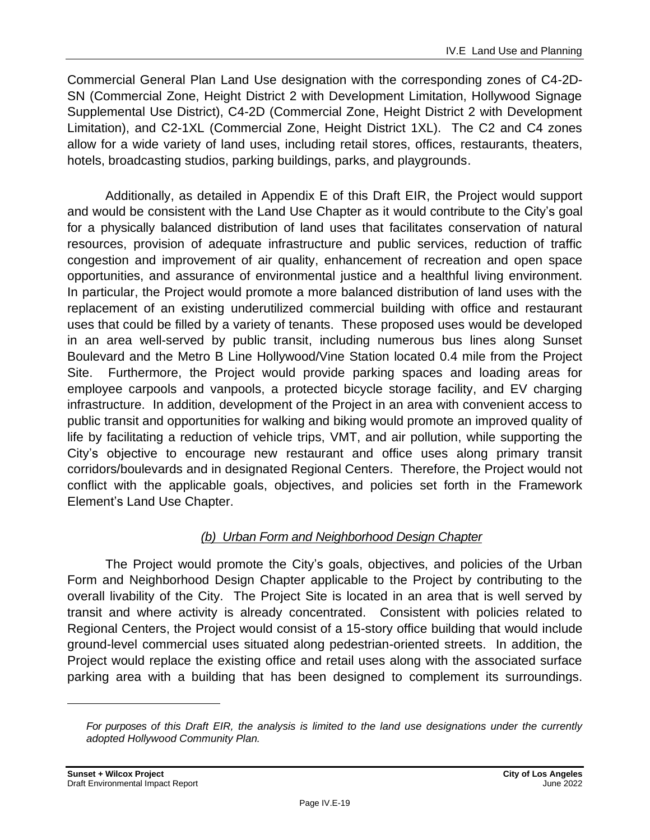Commercial General Plan Land Use designation with the corresponding zones of C4-2D-SN (Commercial Zone, Height District 2 with Development Limitation, Hollywood Signage Supplemental Use District), C4-2D (Commercial Zone, Height District 2 with Development Limitation), and C2-1XL (Commercial Zone, Height District 1XL). The C2 and C4 zones allow for a wide variety of land uses, including retail stores, offices, restaurants, theaters, hotels, broadcasting studios, parking buildings, parks, and playgrounds.

Additionally, as detailed in Appendix E of this Draft EIR, the Project would support and would be consistent with the Land Use Chapter as it would contribute to the City's goal for a physically balanced distribution of land uses that facilitates conservation of natural resources, provision of adequate infrastructure and public services, reduction of traffic congestion and improvement of air quality, enhancement of recreation and open space opportunities, and assurance of environmental justice and a healthful living environment. In particular, the Project would promote a more balanced distribution of land uses with the replacement of an existing underutilized commercial building with office and restaurant uses that could be filled by a variety of tenants. These proposed uses would be developed in an area well-served by public transit, including numerous bus lines along Sunset Boulevard and the Metro B Line Hollywood/Vine Station located 0.4 mile from the Project Site. Furthermore, the Project would provide parking spaces and loading areas for employee carpools and vanpools, a protected bicycle storage facility, and EV charging infrastructure. In addition, development of the Project in an area with convenient access to public transit and opportunities for walking and biking would promote an improved quality of life by facilitating a reduction of vehicle trips, VMT, and air pollution, while supporting the City's objective to encourage new restaurant and office uses along primary transit corridors/boulevards and in designated Regional Centers. Therefore, the Project would not conflict with the applicable goals, objectives, and policies set forth in the Framework Element's Land Use Chapter.

### *(b) Urban Form and Neighborhood Design Chapter*

The Project would promote the City's goals, objectives, and policies of the Urban Form and Neighborhood Design Chapter applicable to the Project by contributing to the overall livability of the City. The Project Site is located in an area that is well served by transit and where activity is already concentrated. Consistent with policies related to Regional Centers, the Project would consist of a 15-story office building that would include ground-level commercial uses situated along pedestrian-oriented streets. In addition, the Project would replace the existing office and retail uses along with the associated surface parking area with a building that has been designed to complement its surroundings.

*For purposes of this Draft EIR, the analysis is limited to the land use designations under the currently adopted Hollywood Community Plan.*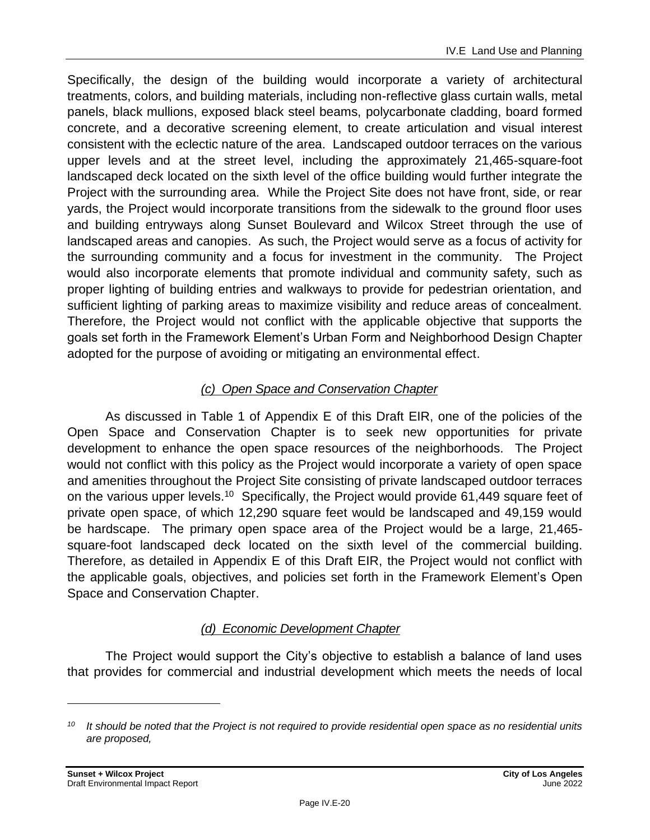Specifically, the design of the building would incorporate a variety of architectural treatments, colors, and building materials, including non-reflective glass curtain walls, metal panels, black mullions, exposed black steel beams, polycarbonate cladding, board formed concrete, and a decorative screening element, to create articulation and visual interest consistent with the eclectic nature of the area. Landscaped outdoor terraces on the various upper levels and at the street level, including the approximately 21,465-square-foot landscaped deck located on the sixth level of the office building would further integrate the Project with the surrounding area. While the Project Site does not have front, side, or rear yards, the Project would incorporate transitions from the sidewalk to the ground floor uses and building entryways along Sunset Boulevard and Wilcox Street through the use of landscaped areas and canopies. As such, the Project would serve as a focus of activity for the surrounding community and a focus for investment in the community. The Project would also incorporate elements that promote individual and community safety, such as proper lighting of building entries and walkways to provide for pedestrian orientation, and sufficient lighting of parking areas to maximize visibility and reduce areas of concealment. Therefore, the Project would not conflict with the applicable objective that supports the goals set forth in the Framework Element's Urban Form and Neighborhood Design Chapter adopted for the purpose of avoiding or mitigating an environmental effect.

### *(c) Open Space and Conservation Chapter*

As discussed in Table 1 of Appendix E of this Draft EIR, one of the policies of the Open Space and Conservation Chapter is to seek new opportunities for private development to enhance the open space resources of the neighborhoods. The Project would not conflict with this policy as the Project would incorporate a variety of open space and amenities throughout the Project Site consisting of private landscaped outdoor terraces on the various upper levels.<sup>10</sup> Specifically, the Project would provide 61,449 square feet of private open space, of which 12,290 square feet would be landscaped and 49,159 would be hardscape. The primary open space area of the Project would be a large, 21,465 square-foot landscaped deck located on the sixth level of the commercial building. Therefore, as detailed in Appendix E of this Draft EIR, the Project would not conflict with the applicable goals, objectives, and policies set forth in the Framework Element's Open Space and Conservation Chapter.

### *(d) Economic Development Chapter*

The Project would support the City's objective to establish a balance of land uses that provides for commercial and industrial development which meets the needs of local

*<sup>10</sup> It should be noted that the Project is not required to provide residential open space as no residential units are proposed,*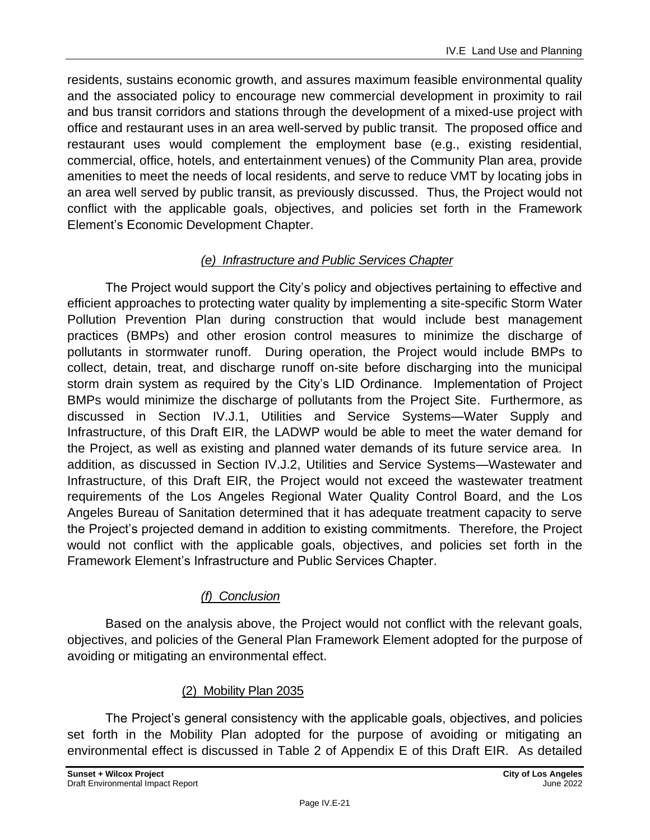residents, sustains economic growth, and assures maximum feasible environmental quality and the associated policy to encourage new commercial development in proximity to rail and bus transit corridors and stations through the development of a mixed-use project with office and restaurant uses in an area well-served by public transit. The proposed office and restaurant uses would complement the employment base (e.g., existing residential, commercial, office, hotels, and entertainment venues) of the Community Plan area, provide amenities to meet the needs of local residents, and serve to reduce VMT by locating jobs in an area well served by public transit, as previously discussed. Thus, the Project would not conflict with the applicable goals, objectives, and policies set forth in the Framework Element's Economic Development Chapter.

### *(e) Infrastructure and Public Services Chapter*

The Project would support the City's policy and objectives pertaining to effective and efficient approaches to protecting water quality by implementing a site-specific Storm Water Pollution Prevention Plan during construction that would include best management practices (BMPs) and other erosion control measures to minimize the discharge of pollutants in stormwater runoff. During operation, the Project would include BMPs to collect, detain, treat, and discharge runoff on-site before discharging into the municipal storm drain system as required by the City's LID Ordinance. Implementation of Project BMPs would minimize the discharge of pollutants from the Project Site. Furthermore, as discussed in Section IV.J.1, Utilities and Service Systems—Water Supply and Infrastructure, of this Draft EIR, the LADWP would be able to meet the water demand for the Project, as well as existing and planned water demands of its future service area. In addition, as discussed in Section IV.J.2, Utilities and Service Systems—Wastewater and Infrastructure, of this Draft EIR, the Project would not exceed the wastewater treatment requirements of the Los Angeles Regional Water Quality Control Board, and the Los Angeles Bureau of Sanitation determined that it has adequate treatment capacity to serve the Project's projected demand in addition to existing commitments. Therefore, the Project would not conflict with the applicable goals, objectives, and policies set forth in the Framework Element's Infrastructure and Public Services Chapter.

### *(f) Conclusion*

Based on the analysis above, the Project would not conflict with the relevant goals, objectives, and policies of the General Plan Framework Element adopted for the purpose of avoiding or mitigating an environmental effect.

### (2) Mobility Plan 2035

The Project's general consistency with the applicable goals, objectives, and policies set forth in the Mobility Plan adopted for the purpose of avoiding or mitigating an environmental effect is discussed in Table 2 of Appendix E of this Draft EIR. As detailed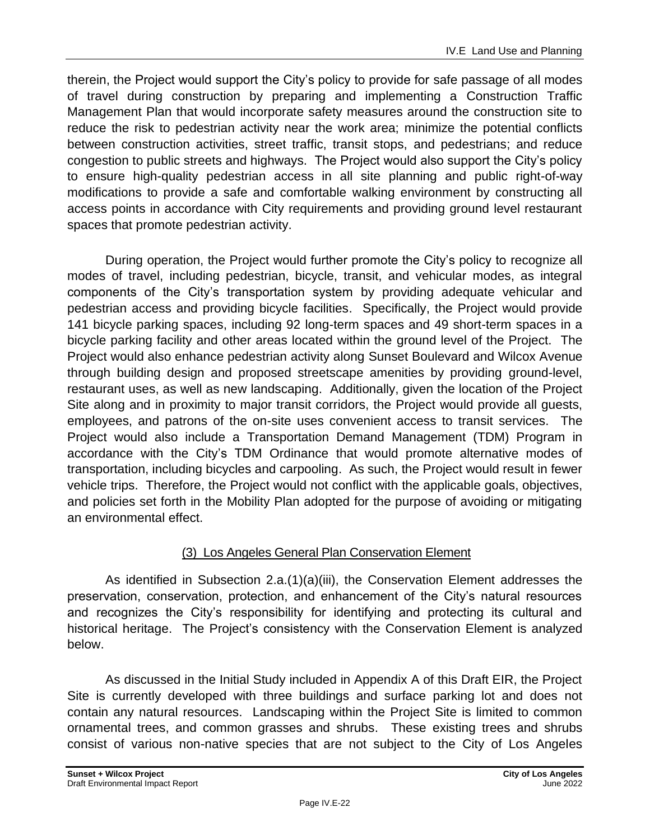therein, the Project would support the City's policy to provide for safe passage of all modes of travel during construction by preparing and implementing a Construction Traffic Management Plan that would incorporate safety measures around the construction site to reduce the risk to pedestrian activity near the work area; minimize the potential conflicts between construction activities, street traffic, transit stops, and pedestrians; and reduce congestion to public streets and highways. The Project would also support the City's policy to ensure high-quality pedestrian access in all site planning and public right-of-way modifications to provide a safe and comfortable walking environment by constructing all access points in accordance with City requirements and providing ground level restaurant spaces that promote pedestrian activity.

During operation, the Project would further promote the City's policy to recognize all modes of travel, including pedestrian, bicycle, transit, and vehicular modes, as integral components of the City's transportation system by providing adequate vehicular and pedestrian access and providing bicycle facilities. Specifically, the Project would provide 141 bicycle parking spaces, including 92 long-term spaces and 49 short-term spaces in a bicycle parking facility and other areas located within the ground level of the Project. The Project would also enhance pedestrian activity along Sunset Boulevard and Wilcox Avenue through building design and proposed streetscape amenities by providing ground-level, restaurant uses, as well as new landscaping. Additionally, given the location of the Project Site along and in proximity to major transit corridors, the Project would provide all guests, employees, and patrons of the on-site uses convenient access to transit services. The Project would also include a Transportation Demand Management (TDM) Program in accordance with the City's TDM Ordinance that would promote alternative modes of transportation, including bicycles and carpooling. As such, the Project would result in fewer vehicle trips. Therefore, the Project would not conflict with the applicable goals, objectives, and policies set forth in the Mobility Plan adopted for the purpose of avoiding or mitigating an environmental effect.

### (3) Los Angeles General Plan Conservation Element

As identified in Subsection 2.a.(1)(a)(iii), the Conservation Element addresses the preservation, conservation, protection, and enhancement of the City's natural resources and recognizes the City's responsibility for identifying and protecting its cultural and historical heritage. The Project's consistency with the Conservation Element is analyzed below.

As discussed in the Initial Study included in Appendix A of this Draft EIR, the Project Site is currently developed with three buildings and surface parking lot and does not contain any natural resources. Landscaping within the Project Site is limited to common ornamental trees, and common grasses and shrubs. These existing trees and shrubs consist of various non-native species that are not subject to the City of Los Angeles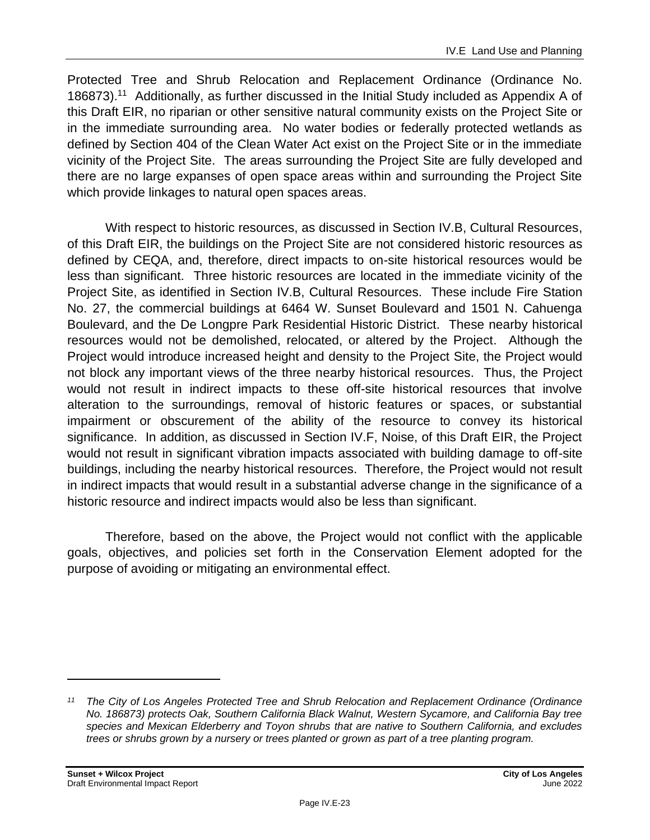Protected Tree and Shrub Relocation and Replacement Ordinance (Ordinance No. 186873).<sup>11</sup> Additionally, as further discussed in the Initial Study included as Appendix A of this Draft EIR, no riparian or other sensitive natural community exists on the Project Site or in the immediate surrounding area. No water bodies or federally protected wetlands as defined by Section 404 of the Clean Water Act exist on the Project Site or in the immediate vicinity of the Project Site. The areas surrounding the Project Site are fully developed and there are no large expanses of open space areas within and surrounding the Project Site which provide linkages to natural open spaces areas.

With respect to historic resources, as discussed in Section IV.B, Cultural Resources, of this Draft EIR, the buildings on the Project Site are not considered historic resources as defined by CEQA, and, therefore, direct impacts to on-site historical resources would be less than significant. Three historic resources are located in the immediate vicinity of the Project Site, as identified in Section IV.B, Cultural Resources. These include Fire Station No. 27, the commercial buildings at 6464 W. Sunset Boulevard and 1501 N. Cahuenga Boulevard, and the De Longpre Park Residential Historic District. These nearby historical resources would not be demolished, relocated, or altered by the Project. Although the Project would introduce increased height and density to the Project Site, the Project would not block any important views of the three nearby historical resources. Thus, the Project would not result in indirect impacts to these off-site historical resources that involve alteration to the surroundings, removal of historic features or spaces, or substantial impairment or obscurement of the ability of the resource to convey its historical significance. In addition, as discussed in Section IV.F, Noise, of this Draft EIR, the Project would not result in significant vibration impacts associated with building damage to off-site buildings, including the nearby historical resources. Therefore, the Project would not result in indirect impacts that would result in a substantial adverse change in the significance of a historic resource and indirect impacts would also be less than significant.

Therefore, based on the above, the Project would not conflict with the applicable goals, objectives, and policies set forth in the Conservation Element adopted for the purpose of avoiding or mitigating an environmental effect.

*<sup>11</sup> The City of Los Angeles Protected Tree and Shrub Relocation and Replacement Ordinance (Ordinance No. 186873) protects Oak, Southern California Black Walnut, Western Sycamore, and California Bay tree species and Mexican Elderberry and Toyon shrubs that are native to Southern California, and excludes trees or shrubs grown by a nursery or trees planted or grown as part of a tree planting program.*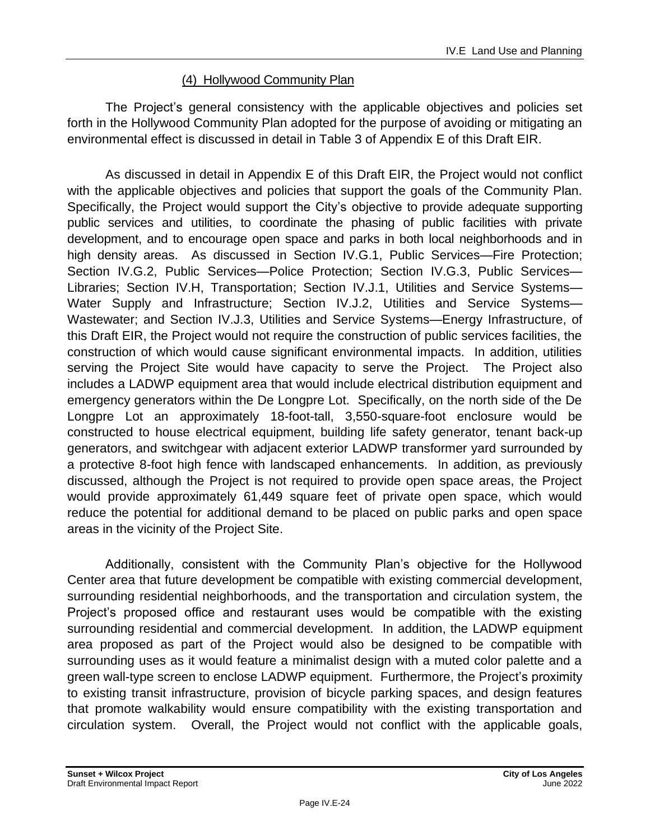### (4) Hollywood Community Plan

The Project's general consistency with the applicable objectives and policies set forth in the Hollywood Community Plan adopted for the purpose of avoiding or mitigating an environmental effect is discussed in detail in Table 3 of Appendix E of this Draft EIR.

As discussed in detail in Appendix E of this Draft EIR, the Project would not conflict with the applicable objectives and policies that support the goals of the Community Plan. Specifically, the Project would support the City's objective to provide adequate supporting public services and utilities, to coordinate the phasing of public facilities with private development, and to encourage open space and parks in both local neighborhoods and in high density areas. As discussed in Section IV.G.1, Public Services—Fire Protection; Section IV.G.2, Public Services—Police Protection; Section IV.G.3, Public Services— Libraries; Section IV.H, Transportation; Section IV.J.1, Utilities and Service Systems— Water Supply and Infrastructure; Section IV.J.2, Utilities and Service Systems-Wastewater; and Section IV.J.3, Utilities and Service Systems—Energy Infrastructure, of this Draft EIR, the Project would not require the construction of public services facilities, the construction of which would cause significant environmental impacts. In addition, utilities serving the Project Site would have capacity to serve the Project. The Project also includes a LADWP equipment area that would include electrical distribution equipment and emergency generators within the De Longpre Lot. Specifically, on the north side of the De Longpre Lot an approximately 18-foot-tall, 3,550-square-foot enclosure would be constructed to house electrical equipment, building life safety generator, tenant back-up generators, and switchgear with adjacent exterior LADWP transformer yard surrounded by a protective 8-foot high fence with landscaped enhancements. In addition, as previously discussed, although the Project is not required to provide open space areas, the Project would provide approximately 61,449 square feet of private open space, which would reduce the potential for additional demand to be placed on public parks and open space areas in the vicinity of the Project Site.

Additionally, consistent with the Community Plan's objective for the Hollywood Center area that future development be compatible with existing commercial development, surrounding residential neighborhoods, and the transportation and circulation system, the Project's proposed office and restaurant uses would be compatible with the existing surrounding residential and commercial development. In addition, the LADWP equipment area proposed as part of the Project would also be designed to be compatible with surrounding uses as it would feature a minimalist design with a muted color palette and a green wall-type screen to enclose LADWP equipment. Furthermore, the Project's proximity to existing transit infrastructure, provision of bicycle parking spaces, and design features that promote walkability would ensure compatibility with the existing transportation and circulation system. Overall, the Project would not conflict with the applicable goals,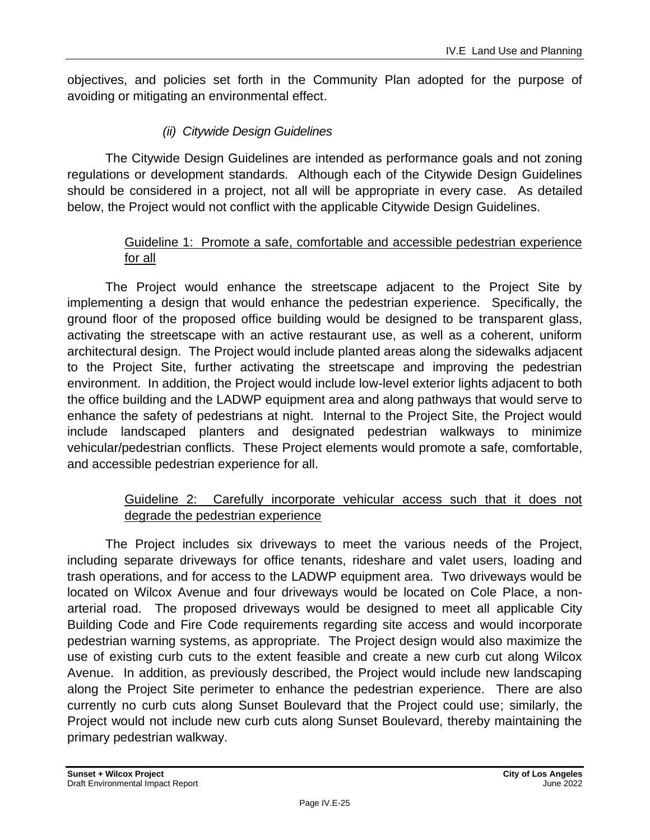objectives, and policies set forth in the Community Plan adopted for the purpose of avoiding or mitigating an environmental effect.

### *(ii) Citywide Design Guidelines*

The Citywide Design Guidelines are intended as performance goals and not zoning regulations or development standards. Although each of the Citywide Design Guidelines should be considered in a project, not all will be appropriate in every case. As detailed below, the Project would not conflict with the applicable Citywide Design Guidelines.

### Guideline 1: Promote a safe, comfortable and accessible pedestrian experience for all

The Project would enhance the streetscape adjacent to the Project Site by implementing a design that would enhance the pedestrian experience. Specifically, the ground floor of the proposed office building would be designed to be transparent glass, activating the streetscape with an active restaurant use, as well as a coherent, uniform architectural design. The Project would include planted areas along the sidewalks adjacent to the Project Site, further activating the streetscape and improving the pedestrian environment. In addition, the Project would include low-level exterior lights adjacent to both the office building and the LADWP equipment area and along pathways that would serve to enhance the safety of pedestrians at night. Internal to the Project Site, the Project would include landscaped planters and designated pedestrian walkways to minimize vehicular/pedestrian conflicts. These Project elements would promote a safe, comfortable, and accessible pedestrian experience for all.

### Guideline 2: Carefully incorporate vehicular access such that it does not degrade the pedestrian experience

The Project includes six driveways to meet the various needs of the Project, including separate driveways for office tenants, rideshare and valet users, loading and trash operations, and for access to the LADWP equipment area. Two driveways would be located on Wilcox Avenue and four driveways would be located on Cole Place, a nonarterial road. The proposed driveways would be designed to meet all applicable City Building Code and Fire Code requirements regarding site access and would incorporate pedestrian warning systems, as appropriate. The Project design would also maximize the use of existing curb cuts to the extent feasible and create a new curb cut along Wilcox Avenue. In addition, as previously described, the Project would include new landscaping along the Project Site perimeter to enhance the pedestrian experience. There are also currently no curb cuts along Sunset Boulevard that the Project could use; similarly, the Project would not include new curb cuts along Sunset Boulevard, thereby maintaining the primary pedestrian walkway.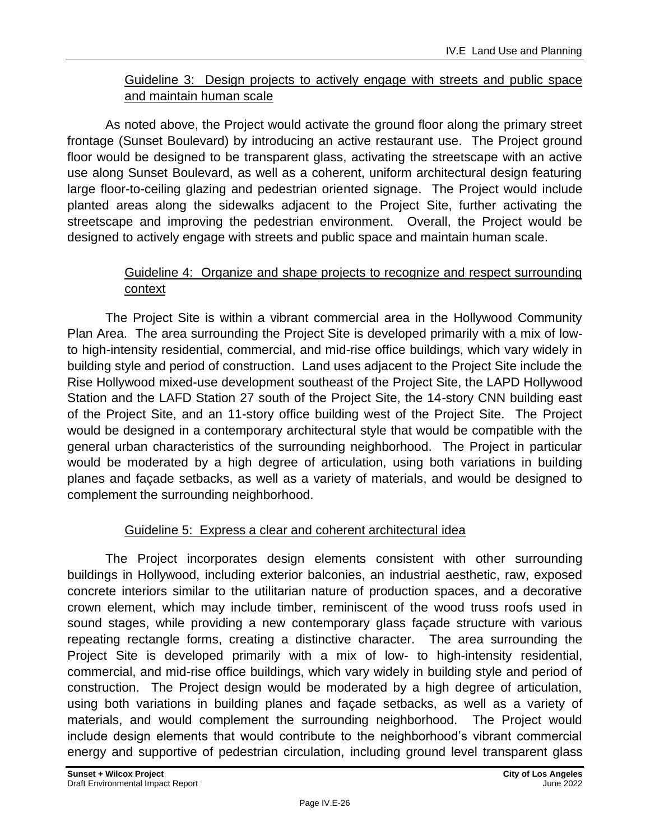### Guideline 3: Design projects to actively engage with streets and public space and maintain human scale

As noted above, the Project would activate the ground floor along the primary street frontage (Sunset Boulevard) by introducing an active restaurant use. The Project ground floor would be designed to be transparent glass, activating the streetscape with an active use along Sunset Boulevard, as well as a coherent, uniform architectural design featuring large floor-to-ceiling glazing and pedestrian oriented signage. The Project would include planted areas along the sidewalks adjacent to the Project Site, further activating the streetscape and improving the pedestrian environment. Overall, the Project would be designed to actively engage with streets and public space and maintain human scale.

### Guideline 4: Organize and shape projects to recognize and respect surrounding context

The Project Site is within a vibrant commercial area in the Hollywood Community Plan Area. The area surrounding the Project Site is developed primarily with a mix of lowto high-intensity residential, commercial, and mid-rise office buildings, which vary widely in building style and period of construction. Land uses adjacent to the Project Site include the Rise Hollywood mixed-use development southeast of the Project Site, the LAPD Hollywood Station and the LAFD Station 27 south of the Project Site, the 14-story CNN building east of the Project Site, and an 11-story office building west of the Project Site. The Project would be designed in a contemporary architectural style that would be compatible with the general urban characteristics of the surrounding neighborhood. The Project in particular would be moderated by a high degree of articulation, using both variations in building planes and façade setbacks, as well as a variety of materials, and would be designed to complement the surrounding neighborhood.

### Guideline 5: Express a clear and coherent architectural idea

The Project incorporates design elements consistent with other surrounding buildings in Hollywood, including exterior balconies, an industrial aesthetic, raw, exposed concrete interiors similar to the utilitarian nature of production spaces, and a decorative crown element, which may include timber, reminiscent of the wood truss roofs used in sound stages, while providing a new contemporary glass façade structure with various repeating rectangle forms, creating a distinctive character. The area surrounding the Project Site is developed primarily with a mix of low- to high-intensity residential, commercial, and mid-rise office buildings, which vary widely in building style and period of construction. The Project design would be moderated by a high degree of articulation, using both variations in building planes and façade setbacks, as well as a variety of materials, and would complement the surrounding neighborhood. The Project would include design elements that would contribute to the neighborhood's vibrant commercial energy and supportive of pedestrian circulation, including ground level transparent glass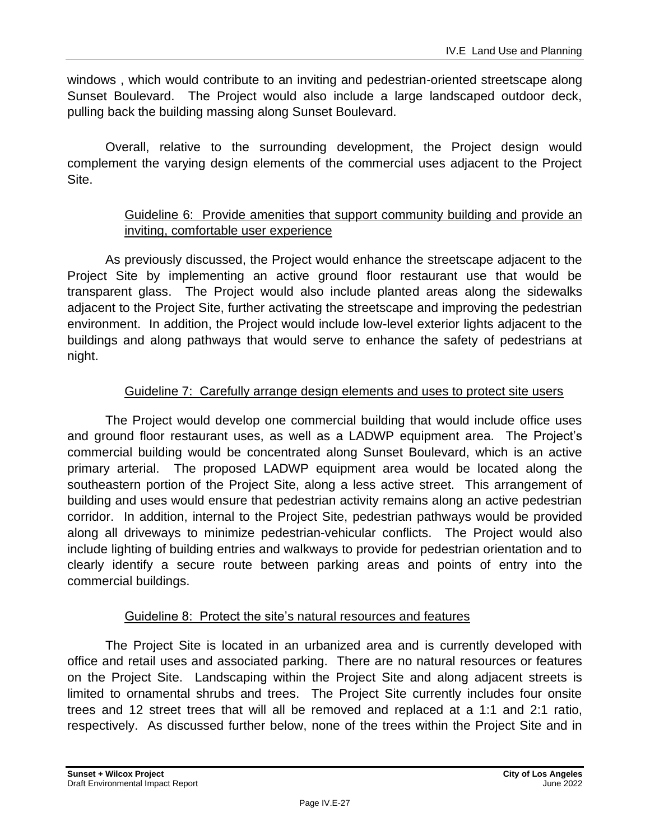windows , which would contribute to an inviting and pedestrian-oriented streetscape along Sunset Boulevard. The Project would also include a large landscaped outdoor deck, pulling back the building massing along Sunset Boulevard.

Overall, relative to the surrounding development, the Project design would complement the varying design elements of the commercial uses adjacent to the Project Site.

### Guideline 6: Provide amenities that support community building and provide an inviting, comfortable user experience

As previously discussed, the Project would enhance the streetscape adjacent to the Project Site by implementing an active ground floor restaurant use that would be transparent glass. The Project would also include planted areas along the sidewalks adjacent to the Project Site, further activating the streetscape and improving the pedestrian environment. In addition, the Project would include low-level exterior lights adjacent to the buildings and along pathways that would serve to enhance the safety of pedestrians at night.

### Guideline 7: Carefully arrange design elements and uses to protect site users

The Project would develop one commercial building that would include office uses and ground floor restaurant uses, as well as a LADWP equipment area. The Project's commercial building would be concentrated along Sunset Boulevard, which is an active primary arterial. The proposed LADWP equipment area would be located along the southeastern portion of the Project Site, along a less active street. This arrangement of building and uses would ensure that pedestrian activity remains along an active pedestrian corridor. In addition, internal to the Project Site, pedestrian pathways would be provided along all driveways to minimize pedestrian-vehicular conflicts. The Project would also include lighting of building entries and walkways to provide for pedestrian orientation and to clearly identify a secure route between parking areas and points of entry into the commercial buildings.

### Guideline 8: Protect the site's natural resources and features

The Project Site is located in an urbanized area and is currently developed with office and retail uses and associated parking. There are no natural resources or features on the Project Site. Landscaping within the Project Site and along adjacent streets is limited to ornamental shrubs and trees. The Project Site currently includes four onsite trees and 12 street trees that will all be removed and replaced at a 1:1 and 2:1 ratio, respectively. As discussed further below, none of the trees within the Project Site and in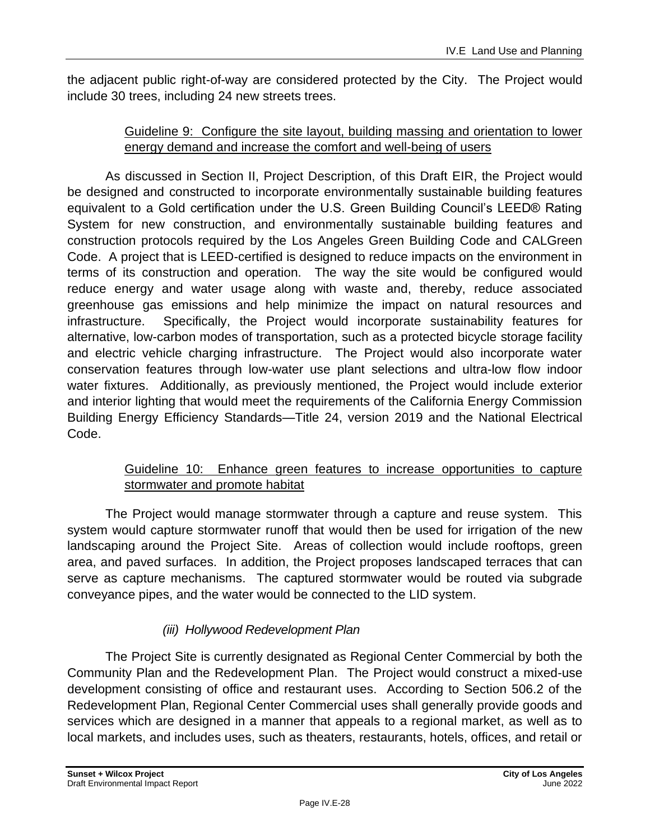the adjacent public right-of-way are considered protected by the City. The Project would include 30 trees, including 24 new streets trees.

### Guideline 9: Configure the site layout, building massing and orientation to lower energy demand and increase the comfort and well-being of users

As discussed in Section II, Project Description, of this Draft EIR, the Project would be designed and constructed to incorporate environmentally sustainable building features equivalent to a Gold certification under the U.S. Green Building Council's LEED® Rating System for new construction, and environmentally sustainable building features and construction protocols required by the Los Angeles Green Building Code and CALGreen Code. A project that is LEED-certified is designed to reduce impacts on the environment in terms of its construction and operation. The way the site would be configured would reduce energy and water usage along with waste and, thereby, reduce associated greenhouse gas emissions and help minimize the impact on natural resources and infrastructure. Specifically, the Project would incorporate sustainability features for alternative, low-carbon modes of transportation, such as a protected bicycle storage facility and electric vehicle charging infrastructure. The Project would also incorporate water conservation features through low-water use plant selections and ultra-low flow indoor water fixtures. Additionally, as previously mentioned, the Project would include exterior and interior lighting that would meet the requirements of the California Energy Commission Building Energy Efficiency Standards—Title 24, version 2019 and the National Electrical Code.

### Guideline 10: Enhance green features to increase opportunities to capture stormwater and promote habitat

The Project would manage stormwater through a capture and reuse system. This system would capture stormwater runoff that would then be used for irrigation of the new landscaping around the Project Site. Areas of collection would include rooftops, green area, and paved surfaces. In addition, the Project proposes landscaped terraces that can serve as capture mechanisms. The captured stormwater would be routed via subgrade conveyance pipes, and the water would be connected to the LID system.

### *(iii) Hollywood Redevelopment Plan*

The Project Site is currently designated as Regional Center Commercial by both the Community Plan and the Redevelopment Plan. The Project would construct a mixed-use development consisting of office and restaurant uses. According to Section 506.2 of the Redevelopment Plan, Regional Center Commercial uses shall generally provide goods and services which are designed in a manner that appeals to a regional market, as well as to local markets, and includes uses, such as theaters, restaurants, hotels, offices, and retail or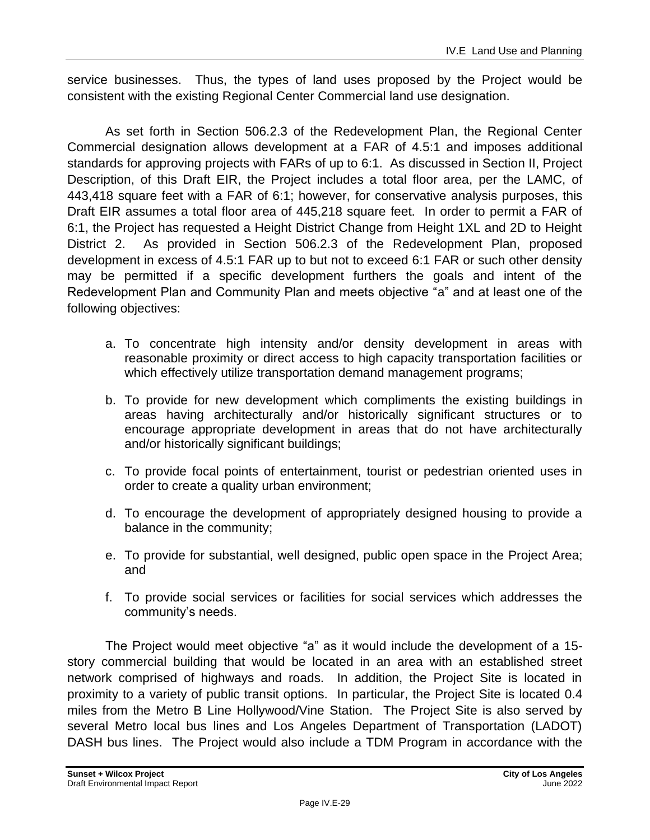service businesses. Thus, the types of land uses proposed by the Project would be consistent with the existing Regional Center Commercial land use designation.

As set forth in Section 506.2.3 of the Redevelopment Plan, the Regional Center Commercial designation allows development at a FAR of 4.5:1 and imposes additional standards for approving projects with FARs of up to 6:1. As discussed in Section II, Project Description, of this Draft EIR, the Project includes a total floor area, per the LAMC, of 443,418 square feet with a FAR of 6:1; however, for conservative analysis purposes, this Draft EIR assumes a total floor area of 445,218 square feet. In order to permit a FAR of 6:1, the Project has requested a Height District Change from Height 1XL and 2D to Height District 2. As provided in Section 506.2.3 of the Redevelopment Plan, proposed development in excess of 4.5:1 FAR up to but not to exceed 6:1 FAR or such other density may be permitted if a specific development furthers the goals and intent of the Redevelopment Plan and Community Plan and meets objective "a" and at least one of the following objectives:

- a. To concentrate high intensity and/or density development in areas with reasonable proximity or direct access to high capacity transportation facilities or which effectively utilize transportation demand management programs;
- b. To provide for new development which compliments the existing buildings in areas having architecturally and/or historically significant structures or to encourage appropriate development in areas that do not have architecturally and/or historically significant buildings;
- c. To provide focal points of entertainment, tourist or pedestrian oriented uses in order to create a quality urban environment;
- d. To encourage the development of appropriately designed housing to provide a balance in the community;
- e. To provide for substantial, well designed, public open space in the Project Area; and
- f. To provide social services or facilities for social services which addresses the community's needs.

The Project would meet objective "a" as it would include the development of a 15 story commercial building that would be located in an area with an established street network comprised of highways and roads. In addition, the Project Site is located in proximity to a variety of public transit options. In particular, the Project Site is located 0.4 miles from the Metro B Line Hollywood/Vine Station. The Project Site is also served by several Metro local bus lines and Los Angeles Department of Transportation (LADOT) DASH bus lines. The Project would also include a TDM Program in accordance with the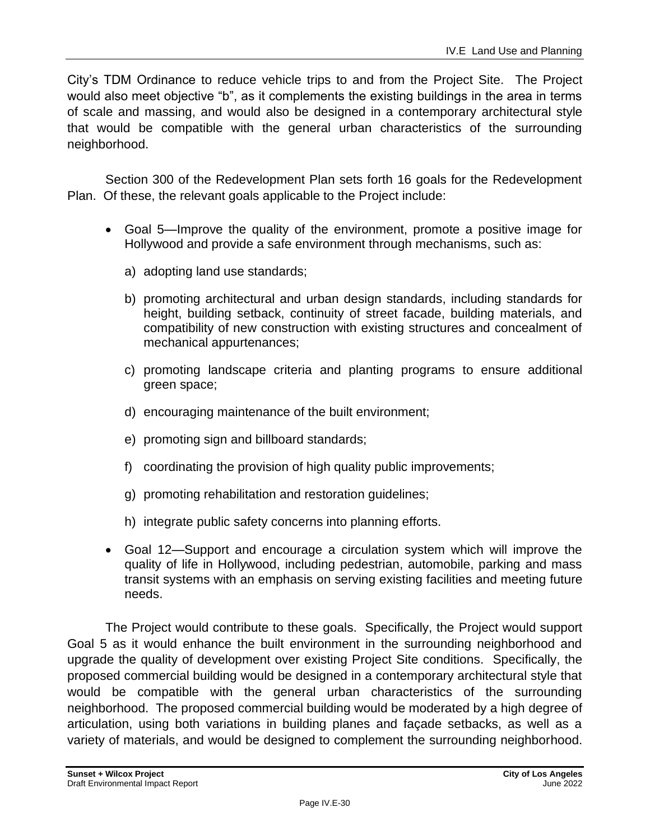City's TDM Ordinance to reduce vehicle trips to and from the Project Site. The Project would also meet objective "b", as it complements the existing buildings in the area in terms of scale and massing, and would also be designed in a contemporary architectural style that would be compatible with the general urban characteristics of the surrounding neighborhood.

Section 300 of the Redevelopment Plan sets forth 16 goals for the Redevelopment Plan. Of these, the relevant goals applicable to the Project include:

- Goal 5—Improve the quality of the environment, promote a positive image for Hollywood and provide a safe environment through mechanisms, such as:
	- a) adopting land use standards;
	- b) promoting architectural and urban design standards, including standards for height, building setback, continuity of street facade, building materials, and compatibility of new construction with existing structures and concealment of mechanical appurtenances;
	- c) promoting landscape criteria and planting programs to ensure additional green space;
	- d) encouraging maintenance of the built environment;
	- e) promoting sign and billboard standards;
	- f) coordinating the provision of high quality public improvements;
	- g) promoting rehabilitation and restoration guidelines;
	- h) integrate public safety concerns into planning efforts.
- Goal 12—Support and encourage a circulation system which will improve the quality of life in Hollywood, including pedestrian, automobile, parking and mass transit systems with an emphasis on serving existing facilities and meeting future needs.

The Project would contribute to these goals. Specifically, the Project would support Goal 5 as it would enhance the built environment in the surrounding neighborhood and upgrade the quality of development over existing Project Site conditions. Specifically, the proposed commercial building would be designed in a contemporary architectural style that would be compatible with the general urban characteristics of the surrounding neighborhood. The proposed commercial building would be moderated by a high degree of articulation, using both variations in building planes and façade setbacks, as well as a variety of materials, and would be designed to complement the surrounding neighborhood.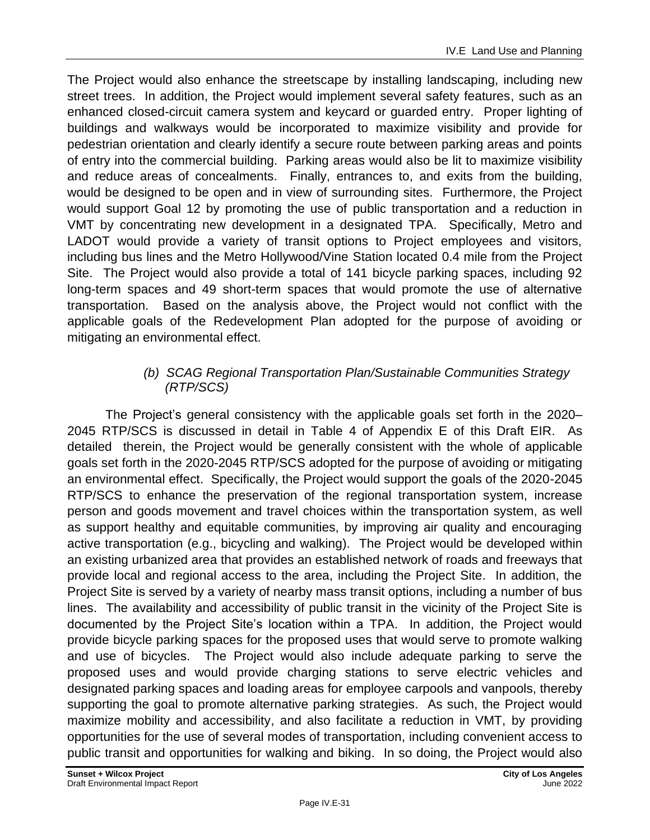The Project would also enhance the streetscape by installing landscaping, including new street trees. In addition, the Project would implement several safety features, such as an enhanced closed-circuit camera system and keycard or guarded entry. Proper lighting of buildings and walkways would be incorporated to maximize visibility and provide for pedestrian orientation and clearly identify a secure route between parking areas and points of entry into the commercial building. Parking areas would also be lit to maximize visibility and reduce areas of concealments. Finally, entrances to, and exits from the building, would be designed to be open and in view of surrounding sites. Furthermore, the Project would support Goal 12 by promoting the use of public transportation and a reduction in VMT by concentrating new development in a designated TPA. Specifically, Metro and LADOT would provide a variety of transit options to Project employees and visitors, including bus lines and the Metro Hollywood/Vine Station located 0.4 mile from the Project Site. The Project would also provide a total of 141 bicycle parking spaces, including 92 long-term spaces and 49 short-term spaces that would promote the use of alternative transportation. Based on the analysis above, the Project would not conflict with the applicable goals of the Redevelopment Plan adopted for the purpose of avoiding or mitigating an environmental effect.

### *(b) SCAG Regional Transportation Plan/Sustainable Communities Strategy (RTP/SCS)*

The Project's general consistency with the applicable goals set forth in the 2020– 2045 RTP/SCS is discussed in detail in Table 4 of Appendix E of this Draft EIR. As detailed therein, the Project would be generally consistent with the whole of applicable goals set forth in the 2020-2045 RTP/SCS adopted for the purpose of avoiding or mitigating an environmental effect. Specifically, the Project would support the goals of the 2020-2045 RTP/SCS to enhance the preservation of the regional transportation system, increase person and goods movement and travel choices within the transportation system, as well as support healthy and equitable communities, by improving air quality and encouraging active transportation (e.g., bicycling and walking). The Project would be developed within an existing urbanized area that provides an established network of roads and freeways that provide local and regional access to the area, including the Project Site. In addition, the Project Site is served by a variety of nearby mass transit options, including a number of bus lines. The availability and accessibility of public transit in the vicinity of the Project Site is documented by the Project Site's location within a TPA. In addition, the Project would provide bicycle parking spaces for the proposed uses that would serve to promote walking and use of bicycles. The Project would also include adequate parking to serve the proposed uses and would provide charging stations to serve electric vehicles and designated parking spaces and loading areas for employee carpools and vanpools, thereby supporting the goal to promote alternative parking strategies. As such, the Project would maximize mobility and accessibility, and also facilitate a reduction in VMT, by providing opportunities for the use of several modes of transportation, including convenient access to public transit and opportunities for walking and biking. In so doing, the Project would also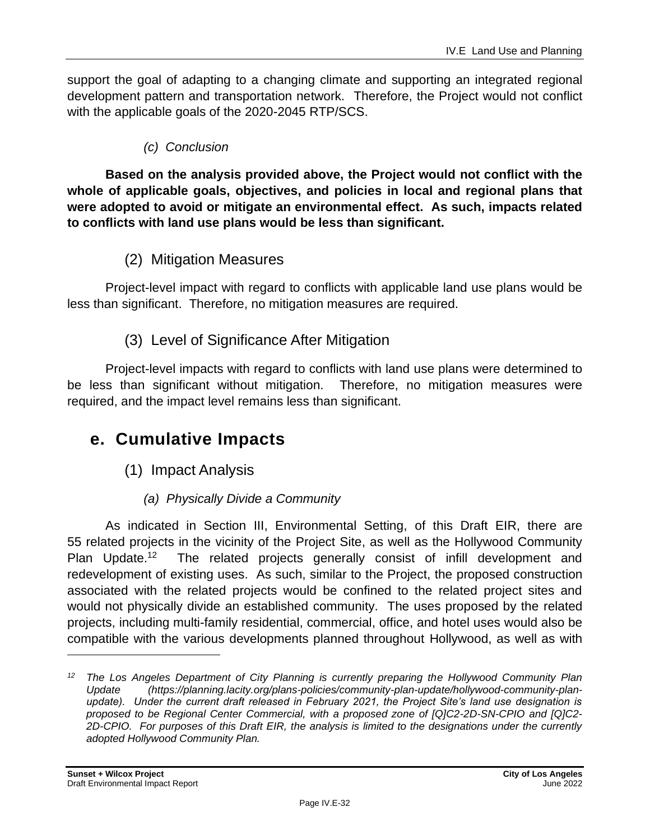support the goal of adapting to a changing climate and supporting an integrated regional development pattern and transportation network. Therefore, the Project would not conflict with the applicable goals of the 2020-2045 RTP/SCS.

### *(c) Conclusion*

**Based on the analysis provided above, the Project would not conflict with the whole of applicable goals, objectives, and policies in local and regional plans that were adopted to avoid or mitigate an environmental effect. As such, impacts related to conflicts with land use plans would be less than significant.**

### (2) Mitigation Measures

Project-level impact with regard to conflicts with applicable land use plans would be less than significant. Therefore, no mitigation measures are required.

### (3) Level of Significance After Mitigation

Project-level impacts with regard to conflicts with land use plans were determined to be less than significant without mitigation. Therefore, no mitigation measures were required, and the impact level remains less than significant.

### **e. Cumulative Impacts**

- (1) Impact Analysis
	- *(a) Physically Divide a Community*

As indicated in Section III, Environmental Setting, of this Draft EIR, there are 55 related projects in the vicinity of the Project Site, as well as the Hollywood Community Plan Update.<sup>12</sup> The related projects generally consist of infill development and redevelopment of existing uses. As such, similar to the Project, the proposed construction associated with the related projects would be confined to the related project sites and would not physically divide an established community. The uses proposed by the related projects, including multi-family residential, commercial, office, and hotel uses would also be compatible with the various developments planned throughout Hollywood, as well as with

*<sup>12</sup> The Los Angeles Department of City Planning is currently preparing the Hollywood Community Plan Update (https://planning.lacity.org/plans-policies/community-plan-update/hollywood-community-planupdate). Under the current draft released in February 2021, the Project Site's land use designation is proposed to be Regional Center Commercial, with a proposed zone of [Q]C2-2D-SN-CPIO and [Q]C2- 2D-CPIO. For purposes of this Draft EIR, the analysis is limited to the designations under the currently adopted Hollywood Community Plan.*